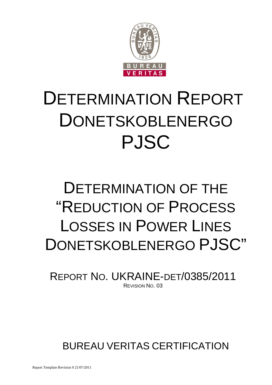

# DETERMINATION REPORT DONETSKOBLENERGO PJSC

# DETERMINATION OF THE "REDUCTION OF PROCESS LOSSES IN POWER LINES DONETSKOBLENERGO PJSC"

REPORT NO. UKRAINE-DET/0385/2011 REVISION NO. 03

BUREAU VERITAS CERTIFICATION

Report Template Revision 9 21/07/2011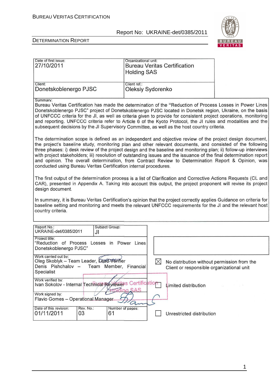

#### DETERMINATION REPORT

| Date of first issue:<br>27/10/2011                                                                                           | Organizational unit:<br><b>Bureau Veritas Certification</b><br><b>Holding SAS</b>                                                                                                                                                                                                                                                                                                                                                                                                                                                                                          |  |
|------------------------------------------------------------------------------------------------------------------------------|----------------------------------------------------------------------------------------------------------------------------------------------------------------------------------------------------------------------------------------------------------------------------------------------------------------------------------------------------------------------------------------------------------------------------------------------------------------------------------------------------------------------------------------------------------------------------|--|
| Client:<br>Donetskoblenergo PJSC                                                                                             | Client ref.:<br>Oleksiy Sydorenko                                                                                                                                                                                                                                                                                                                                                                                                                                                                                                                                          |  |
| Summary:                                                                                                                     | Bureau Veritas Certification has made the determination of the "Reduction of Process Losses in Power Lines<br>Donetskoblenergo PJSC" project of Donetskoblenergo PJSC located in Donetsk region, Ukraine, on the basis<br>of UNFCCC criteria for the JI, as well as criteria given to provide for consistent project operations, monitoring<br>and reporting. UNFCCC criteria refer to Article 6 of the Kyoto Protocol, the JI rules and modalities and the<br>subsequent decisions by the JI Supervisory Committee, as well as the host country criteria.                 |  |
| conducted using Bureau Veritas Certification internal procedures.                                                            | The determination scope is defined as an independent and objective review of the project design document,<br>the project's baseline study, monitoring plan and other relevant documents, and consisted of the following<br>three phases: i) desk review of the project design and the baseline and monitoring plan; ii) follow-up interviews<br>with project stakeholders; iii) resolution of outstanding issues and the issuance of the final determination report<br>and opinion. The overall determination, from Contract Review to Determination Report & Opinion, was |  |
| design document.                                                                                                             | The first output of the determination process is a list of Clarification and Corrective Actions Requests (CL and<br>CAR), presented in Appendix A. Taking into account this output, the project proponent will revise its project                                                                                                                                                                                                                                                                                                                                          |  |
| country criteria.                                                                                                            | In summary, it is Bureau Veritas Certification's opinion that the project correctly applies Guidance on criteria for<br>baseline setting and monitoring and meets the relevant UNFCCC requirements for the JI and the relevant host                                                                                                                                                                                                                                                                                                                                        |  |
| Report No.:<br>Subject Group:<br>UKRAINE-det/0385/2011<br>JI                                                                 |                                                                                                                                                                                                                                                                                                                                                                                                                                                                                                                                                                            |  |
| Project title:<br>"Reduction of Process Losses in Power Lines<br>Donetskoblenergo PJSC"                                      |                                                                                                                                                                                                                                                                                                                                                                                                                                                                                                                                                                            |  |
| Work carried out by:<br>Oleg Skoblyk - Team Leader, Lead Verifier<br>Denis Pishchalov - Team Member, Financial<br>Specialist | $\boxtimes$<br>No distribution without permission from the<br>Client or responsible organizational unit                                                                                                                                                                                                                                                                                                                                                                                                                                                                    |  |
| Work verified by:<br>Ivan Sokolov - Internal Technical Reviers Certification<br>Work signed by:                              | Limited distribution<br>olding SAS                                                                                                                                                                                                                                                                                                                                                                                                                                                                                                                                         |  |
| Flavio Gomes - Operational Manager<br>Date of this revision:<br>Rev. No.:                                                    | Number of pages:                                                                                                                                                                                                                                                                                                                                                                                                                                                                                                                                                           |  |
| 01/11/2011<br>03<br>61                                                                                                       | Unrestricted distribution                                                                                                                                                                                                                                                                                                                                                                                                                                                                                                                                                  |  |

1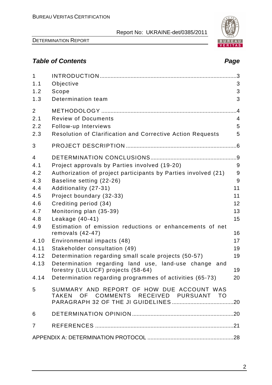

# **Table of Contents Page 2018**

| $\mathbf{1}$   |                                                                                     | $\cdot$ 3      |
|----------------|-------------------------------------------------------------------------------------|----------------|
| 1.1            | Objective                                                                           | 3              |
| 1.2            | Scope                                                                               | 3              |
| 1.3            | Determination team                                                                  | 3              |
| $\overline{2}$ |                                                                                     | .4             |
| 2.1            | <b>Review of Documents</b>                                                          | $\overline{4}$ |
| 2.2            | Follow-up Interviews                                                                | 5              |
| 2.3            | <b>Resolution of Clarification and Corrective Action Requests</b>                   | 5              |
| 3              |                                                                                     |                |
| $\overline{4}$ |                                                                                     |                |
| 4.1            | Project approvals by Parties involved (19-20)                                       | 9              |
| 4.2            | Authorization of project participants by Parties involved (21)                      | 9              |
| 4.3            | Baseline setting (22-26)                                                            | 9              |
| 4.4            | Additionality (27-31)                                                               | 11             |
| 4.5            | Project boundary (32-33)                                                            | 11             |
| 4.6            | Crediting period (34)                                                               | 12             |
| 4.7            | Monitoring plan (35-39)                                                             | 13             |
| 4.8            | Leakage $(40-41)$                                                                   | 15             |
| 4.9            | Estimation of emission reductions or enhancements of net<br>removals $(42-47)$      | 16             |
| 4.10           | Environmental impacts (48)                                                          | 17             |
| 4.11           | Stakeholder consultation (49)                                                       | 19             |
| 4.12           | Determination regarding small scale projects (50-57)                                | 19             |
| 4.13           | Determination regarding land use, land-use change and                               |                |
|                | forestry (LULUCF) projects (58-64)                                                  | 19             |
| 4.14           | Determination regarding programmes of activities (65-73)                            | 20             |
| 5              | SUMMARY AND REPORT OF HOW DUE ACCOUNT WAS<br>TAKEN OF COMMENTS RECEIVED PURSUANT TO |                |
| 6              |                                                                                     |                |
| $\overline{7}$ |                                                                                     |                |
|                |                                                                                     |                |
|                |                                                                                     |                |

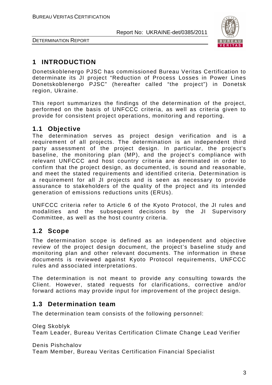

DETERMINATION REPORT

# **1 INTRODUCTION**

Donetskoblenergo PJSC has commissioned Bureau Veritas Certification to determinate its JI project "Reduction of Process Losses in Power Lines Donetskoblenergo PJSC" (hereafter called "the project") in Donetsk region, Ukraine.

This report summarizes the findings of the determination of the project, performed on the basis of UNFCCC criteria, as well as criteria given to provide for consistent project operations, monitoring and reporting.

# **1.1 Objective**

The determination serves as project design verification and is a requirement of all projects. The determination is an independent third party assessment of the project design. In particular, the project's baseline, the monitoring plan (MP), and the project's compliance with relevant UNFCCC and host country criteria are derminated in order to confirm that the project design, as documented, is sound and reasonable, and meet the stated requirements and identified criteria. Determination is a requirement for all JI projects and is seen as necessary to provide assurance to stakeholders of the quality of the project and its intended generation of emissions reductions units (ERUs).

UNFCCC criteria refer to Article 6 of the Kyoto Protocol, the JI rules and modalities and the subsequent decisions by the JI Supervisory Committee, as well as the host country criteria.

# **1.2 Scope**

The determination scope is defined as an independent and objective review of the project design document, the project's baseline study and monitoring plan and other relevant documents. The information in these documents is reviewed against Kyoto Protocol requirements, UNFCCC rules and associated interpretations.

The determination is not meant to provide any consulting towards the Client. However, stated requests for clarifications, corrective and/or forward actions may provide input for improvement of the project design.

# **1.3 Determination team**

The determination team consists of the following personnel:

Oleg Skoblyk Team Leader, Bureau Veritas Certification Climate Change Lead Verifier

Denis Pishchalov Team Member, Bureau Veritas Certification Financial Specialist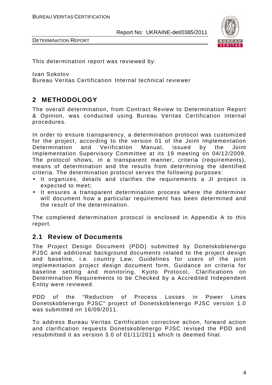

This determination report was reviewed by:

Ivan Sokolov

Bureau Veritas Certification Internal technical reviewer

# **2 METHODOLOGY**

The overall determination, from Contract Review to Determination Report & Opinion, was conducted using Bureau Veritas Certification internal procedures.

In order to ensure transparency, a determination protocol was customized for the project, according to the version 01 of the Joint Implementation Determination and Verification Manual, issued by the Joint Implementation Supervisory Committee at its 19 meeting on 04/12/2009. The protocol shows, in a transparent manner, criteria (requirements), means of determination and the results from determining the identified criteria. The determination protocol serves the following purposes:

- It organizes, details and clarifies the requirements a JI project is expected to meet;
- It ensures a transparent determination process where the determiner will document how a particular requirement has been determined and the result of the determination.

The completed determination protocol is enclosed in Appendix A to this report.

# **2.1 Review of Documents**

The Project Design Document (PDD) submitted by Donetskoblenergo PJSC and additional background documents related to the project design and baseline, i.e. country Law, Guidelines for users of the joint implementation project design document form, Guidance on criteria for baseline setting and monitoring, Kyoto Protocol, Clarifications on Determination Requirements to be Checked by a Accredited Independent Entity were reviewed.

PDD of the "Reduction of Process Losses in Power Lines Donetskoblenergo PJSC" project of Donetskoblenergo PJSC version 1.0 was submitted on 16/09/2011.

To address Bureau Veritas Certification corrective action, forward action and clarification requests Donetskoblenergo PJSC revised the PDD and resubmitted it as version 3.0 of 01/11/2011 which is deemed final.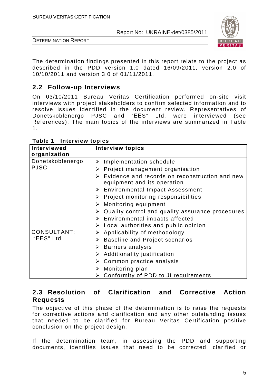

DETERMINATION REPORT

The determination findings presented in this report relate to the project as described in the PDD version 1.0 dated 16/09/2011, version 2.0 of 10/10/2011 and version 3.0 of 01/11/2011.

# **2.2 Follow-up Interviews**

On 03/10/2011 Bureau Veritas Certification performed on-site visit interviews with project stakeholders to confirm selected information and to resolve issues identified in the document review. Representatives of Donetskoblenergo PJSC and "ЕЕS" Ltd. were interviewed (see References). The main topics of the interviews are summarized in Table 1.

| Interviewed        | <b>Interview topics</b>                                                       |
|--------------------|-------------------------------------------------------------------------------|
| organization       |                                                                               |
| Donetskoblenergo   | Implementation schedule<br>➤                                                  |
| <b>PJSC</b>        | $\triangleright$ Project management organisation                              |
|                    | Evidence and records on reconstruction and new<br>equipment and its operation |
|                    | <b>Environmental Impact Assessment</b><br>➤                                   |
|                    | $\triangleright$ Project monitoring responsibilities                          |
|                    | $\triangleright$ Monitoring equipment                                         |
|                    | Quality control and quality assurance procedures                              |
|                    | Environmental impacts affected<br>➤                                           |
|                    | Local authorities and public opinion                                          |
| <b>CONSULTANT:</b> | $\triangleright$ Applicability of methodology                                 |
| "EES" Ltd.         | <b>Baseline and Project scenarios</b>                                         |
|                    | $\triangleright$ Barriers analysis                                            |
|                    | Additionality justification<br>➤                                              |
|                    | Common practice analysis                                                      |
|                    | Monitoring plan                                                               |
|                    | Conformity of PDD to JI requirements<br>➤                                     |

**Table 1 Interview topics** 

# **2.3 Resolution of Clarification and Corrective Action Requests**

The objective of this phase of the determination is to raise the requests for corrective actions and clarification and any other outstanding issues that needed to be clarified for Bureau Veritas Certification positive conclusion on the project design.

If the determination team, in assessing the PDD and supporting documents, identifies issues that need to be corrected, clarified or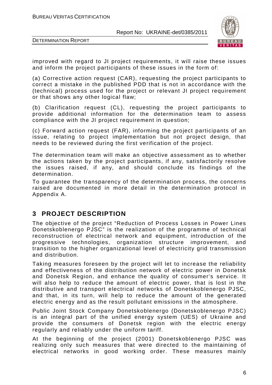

DETERMINATION REPORT

improved with regard to JI project requirements, it will raise these issues and inform the project participants of these issues in the form of:

(a) Corrective action request (CAR), requesting the project participants to correct a mistake in the published PDD that is not in accordance with the (technical) process used for the project or relevant JI project requirement or that shows any other logical flaw;

(b) Clarification request (CL), requesting the project participants to provide additional information for the determination team to assess compliance with the JI project requirement in question;

(c) Forward action request (FAR), informing the project participants of an issue, relating to project implementation but not project design, that needs to be reviewed during the first verification of the project.

The determination team will make an objective assessment as to whether the actions taken by the project participants, if any, satisfactorily resolve the issues raised, if any, and should conclude its findings of the determination.

To guarantee the transparency of the determination process, the concerns raised are documented in more detail in the determination protocol in Appendix A.

# **3 PROJECT DESCRIPTION**

The objective of the project "Reduction of Process Losses in Power Lines Donetskoblenergo PJSC" is the realization of the programme of technical reconstruction of electrical network and equipment, introduction of the progressive technologies, organization structure improvement, and transition to the higher organizational level of electricity grid transmission and distribution.

Taking measures foreseen by the project will let to increase the reliability and effectiveness of the distribution network of electric power in Donetsk and Donetsk Region, and enhance the quality of consumer's service. It will also help to reduce the amount of electric power, that is lost in the distributive and transport electrical networks of Donetskoblenergo PJSC, and that, in its turn, will help to reduce the amount of the generated electric energy and as the result pollutant emissions in the atmosphere.

Public Joint Stock Company Donetskoblenergo (Donetskoblenergo PJSC) is an integral part of the unified energy system (UES) of Ukraine and provide the consumers of Donetsk region with the electric energy regularly and reliably under the uniform tariff.

At the beginning of the project (2001) Donetskoblenergo PJSC was realizing only such measures that were directed to the maintaining of electrical networks in good working order. These measures mainly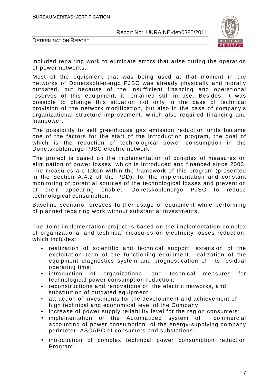



included repairing work to eliminate errors that arise during the operation of power networks.

Most of the equipment that was being used at that moment in the networks of Donetskoblenergo PJSC was already physically and morally outdated, but because of the insufficient financing and operational reserves of this equipment, it remained still in use. Besides, it was possible to change this situation not only in the case of technical provision of the network modification, but also in the case of company's organizational structure improvement, which also required financing and manpower.

The possibility to sell greenhouse gas emission reduction units became one of the factors for the start of the introduction program, the goal of which is the reduction of technological power consumption in the Donetskoblenergo PJSC electric network.

The project is based on the implementation of complex of measures on elimination of power losses, which is introduced and financed since 2003. The measures are taken within the framework of this program (presented in the Section A.4.2 of the PDD), for the implementation and constant monitoring of potential sources of the technological losses and prevention of their appearing enabled Donetskoblenergo PJSC to reduce technological consumption.

Baseline scenario foresees further usage of equipment while performing of planned repairing work without substantial investments.

The Joint implementation project is based on the implementation complex of organizational and technical measures on electricity losses reduction, which includes:

- realization of scientific and technical support, extension of the exploitation term of the functioning equipment, realization of the equipment diagnostics system and prognostication of its residual operating time;
- introduction of organizational and technical measures for technological power consumption reduction;
- reconstructions and renovations of the electric networks, and substitution of outdated equipment;
- attraction of investments for the development and achievement of high technical and economical level of the Company;
- increase of power supply reliability level for the region consumers;
- implementation of the Automatized system of commercial accounting of power consumption of the energy-supplying company perimeter, ASCAPC of consumers and substations;
- introduction of complex technical power consumption reduction Program;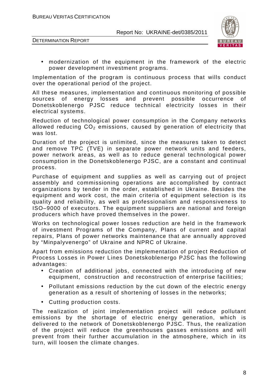DETERMINATION REPORT



• modernization of the equipment in the framework of the electric power development investment programs.

Implementation of the program is continuous process that wills conduct over the operational period of the project.

All these measures, implementation and continuous monitoring of possible sources of energy losses and prevent possible occurrence of Donetskoblenergo PJSC reduce technical electricity losses in their electrical systems.

Reduction of technological power consumption in the Company networks allowed reducing  $CO<sub>2</sub>$  emissions, caused by generation of electricity that was lost.

Duration of the project is unlimited, since the measures taken to detect and remove TPC (ТVE) in separate power network units and feeders, power network areas, as well as to reduce general technological power consumption in the Donetskoblenergo PJSC, are a constant and continual process.

Purchase of equipment and supplies as well as carrying out of project assembly and commissioning operations are accomplished by contract organizations by tender in the order, established in Ukraine. Besides the equipment and work cost, the main criteria of equipment selection is its quality and reliability, as well as professionalism and responsiveness to ISO–9000 of executors. The equipment suppliers are national and foreign producers which have proved themselves in the power.

Works on technological power losses reduction are held in the framework of investment Programs of the Company, Plans of current and capital repairs, Plans of power networks maintenance that are annually approved by "Minpalyvenergo" of Ukraine and NPRC of Ukraine.

Apart from emissions reduction the implementation of project Reduction of Process Losses in Power Lines Donetskoblenergo PJSC has the following advantages:

- Creation of additional jobs, connected with the introducing of new equipment, construction and reconstruction of enterprise facilities;
- Pollutant emissions reduction by the cut down of the electric energy generation as a result of shortening of losses in the networks;
- Cutting production costs.

The realization of joint implementation project will reduce pollutant emissions by the shortage of electric energy generation, which is delivered to the network of Donetskoblenergo PJSC. Thus, the realization of the project will reduce the greenhouses gasses emissions and will prevent from their further accumulation in the atmosphere, which in its turn, will loosen the climate changes.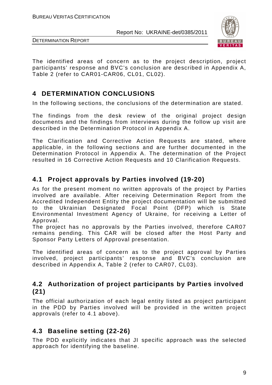

DETERMINATION REPORT

The identified areas of concern as to the project description, project participants' response and BVC's conclusion are described in Appendix A, Table 2 (refer to CAR01-CAR06, CL01, CL02).

# **4 DETERMINATION CONCLUSIONS**

In the following sections, the conclusions of the determination are stated.

The findings from the desk review of the original project design documents and the findings from interviews during the follow up visit are described in the Determination Protocol in Appendix A.

The Clarification and Corrective Action Requests are stated, where applicable, in the following sections and are further documented in the Determination Protocol in Appendix A. The determination of the Project resulted in 16 Corrective Action Requests and 10 Clarification Requests.

# **4.1 Project approvals by Parties involved (19-20)**

As for the present moment no written approvals of the project by Parties involved are available. After receiving Determination Report from the Accredited Independent Entity the project documentation will be submitted to the Ukrainian Designated Focal Point (DFP) which is State Environmental Investment Agency of Ukraine, for receiving a Letter of Approval.

The project has no approvals by the Parties involved, therefore CAR07 remains pending. This CAR will be closed after the Host Party and Sponsor Party Letters of Approval presentation.

The identified areas of concern as to the project approval by Parties involved, project participants' response and BVC's conclusion are described in Appendix A, Table 2 (refer to CAR07, CL03).

# **4.2 Authorization of project participants by Parties involved (21)**

The official authorization of each legal entity listed as project participant in the PDD by Parties involved will be provided in the written project approvals (refer to 4.1 above).

# **4.3 Baseline setting (22-26)**

The PDD explicitly indicates that JI specific approach was the selected approach for identifying the baseline.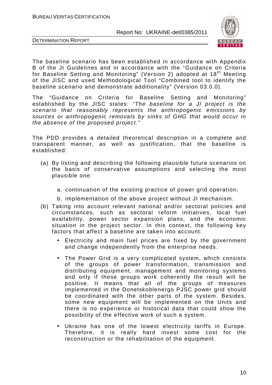

DETERMINATION REPORT



for Baseline Setting and Monitoring" (Version 2) adopted at 18th Meeting of the JISC and used Methodological Tool "Combined tool to identify the baseline scenario and demonstrate additionality" (Version 03.0.0).

The "Guidance on Criteria for Baseline Setting and Monitoring" established by the JISC states: "The baseline for a JI project is the scenario that reasonably represents the anthropogenic emissions by sources or anthropogenic removals by sinks of GHG that would occur in the absence of the proposed project."

The PDD provides a detailed theoretical description in a complete and transparent manner, as well as justification, that the baseline is established:

- (a) By listing and describing the following plausible future scenarios on the basis of conservative assumptions and selecting the most plausible one:
	- a. continuation of the existing practice of power grid operation;
	- b. implementation of the above project without JI mechanism.
- (b) Taking into account relevant national and/or sectoral policies and circumstances, such as sectoral reform initiatives, local fuel availability, power sector expansion plans, and the economic situation in the project sector. In this context, the following key factors that affect a baseline are taken into account:
	- Electricity and main fuel prices are fixed by the government and change independently from the enterprise needs.
	- The Power Grid is a very complicated system, which consists of the groups of power transformation, transmission and distributing equipment, management and monitoring systems and only if these groups work coherently the result will be positive. It means that all of the groups of measures implemented in the Donetskoblenergo PJSC power grid should be coordinated with the other parts of the system. Besides, some new equipment will be implemented on the Units and there is no experience or historical data that could show the possibility of the effective work of such a system.
	- Ukraine has one of the lowest electricity tariffs in Europe. Therefore, it is really hard invest some cost for the reconstruction or the rehabilitation of the equipment.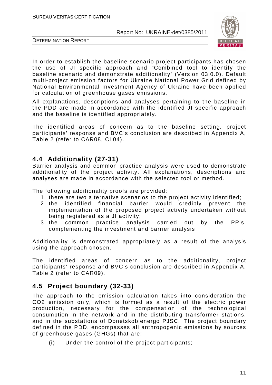



In order to establish the baseline scenario project participants has chosen the use of JI specific approach and "Combined tool to identify the baseline scenario and demonstrate additionality" (Version 03.0.0). Default multi-project emission factors for Ukraine National Power Grid defined by National Environmental Investment Agency of Ukraine have been applied for calculation of greenhouse gases emissions.

All explanations, descriptions and analyses pertaining to the baseline in the PDD are made in accordance with the identified JI specific approach and the baseline is identified appropriately.

The identified areas of concern as to the baseline setting, project participants' response and BVC's conclusion are described in Appendix A, Table 2 (refer to CAR08, CL04).

## **4.4 Additionality (27-31)**

Barrier analysis and common practice analysis were used to demonstrate additionality of the project activity. All explanations, descriptions and analyses are made in accordance with the selected tool or method.

The following additionality proofs are provided:

- 1. there are two alternative scenarios to the project activity identified;
- 2. the identified financial barrier would credibly prevent the implementation of the proposed project activity undertaken without being registered as a JI activity;
- 3. the common practice analysis carried out by the PP's, complementing the investment and barrier analysis

Additionality is demonstrated appropriately as a result of the analysis using the approach chosen.

The identified areas of concern as to the additionality, project participants' response and BVC's conclusion are described in Appendix A, Table 2 (refer to CAR09).

# **4.5 Project boundary (32-33)**

The approach to the emission calculation takes into consideration the CO2 emission only, which is formed as a result of the electric power production, necessary for the compensation of the technological consumption in the network and in the distributing transformer stations, and in the substations of Donetskoblenergo PJSC. The project boundary defined in the PDD, encompasses all anthropogenic emissions by sources of greenhouse gases (GHGs) that are:

(i) Under the control of the project participants;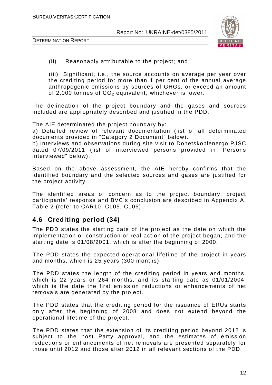

(ii) Reasonably attributable to the project; and

(iii) Significant, i.e., the source accounts on average per year over the crediting period for more than 1 per cent of the annual average anthropogenic emissions by sources of GHGs, or exceed an amount of 2,000 tonnes of  $CO<sub>2</sub>$  equivalent, whichever is lower.

The delineation of the project boundary and the gases and sources included are appropriately described and justified in the PDD.

The AIE determinated the project boundary by:

a) Detailed review of relevant documentation (list of all determinated documents provided in "Category 2 Document" below).

b) Interviews and observations during site visit to Donetskoblenergo PJSC dated 07/09/2011 (list of interviewed persons provided in "Persons interviewed" below).

Based on the above assessment, the AIE hereby confirms that the identified boundary and the selected sources and gases are justified for the project activity.

The identified areas of concern as to the project boundary, project participants' response and BVC's conclusion are described in Appendix A, Table 2 (refer to CAR10, CL05, CL06).

# **4.6 Crediting period (34)**

The PDD states the starting date of the project as the date on which the implementation or construction or real action of the project began, and the starting date is 01/08/2001, which is after the beginning of 2000.

The PDD states the expected operational lifetime of the project in years and months, which is 25 years (300 months).

The PDD states the length of the crediting period in years and months, which is 22 years or 264 months, and its starting date as 01/01/2004, which is the date the first emission reductions or enhancements of net removals are generated by the project.

The PDD states that the crediting period for the issuance of ERUs starts only after the beginning of 2008 and does not extend beyond the operational lifetime of the project.

The PDD states that the extension of its crediting period beyond 2012 is subject to the host Party approval, and the estimates of emission reductions or enhancements of net removals are presented separately for those until 2012 and those after 2012 in all relevant sections of the PDD.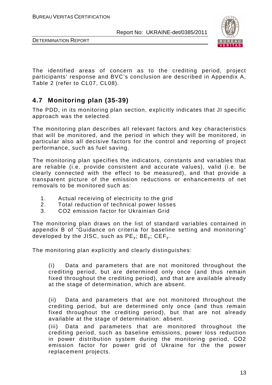



The identified areas of concern as to the crediting period, project participants' response and BVC's conclusion are described in Appendix A, Table 2 (refer to CL07, CL08).

# **4.7 Monitoring plan (35-39)**

The PDD, in its monitoring plan section, explicitly indicates that JI specific approach was the selected.

The monitoring plan describes all relevant factors and key characteristics that will be monitored, and the period in which they will be monitored, in particular also all decisive factors for the control and reporting of project performance, such as fuel saving.

The monitoring plan specifies the indicators, constants and variables that are reliable (i.e. provide consistent and accurate values), valid (i.e. be clearly connected with the effect to be measured), and that provide a transparent picture of the emission reductions or enhancements of net removals to be monitored such as:

- 1. Actual receiving of electricity to the grid
- 2. Total reduction of technical power losses
- 3. CO2 emission factor for Ukrainian Grid

The monitoring plan draws on the list of standard variables contained in appendix B of "Guidance on criteria for baseline setting and monitoring" developed by the JISC, such as  $PE_v$ ;  $BE_v$ ;  $CEF_v$ .

The monitoring plan explicitly and clearly distinguishes:

(i) Data and parameters that are not monitored throughout the crediting period, but are determined only once (and thus remain fixed throughout the crediting period), and that are available already at the stage of determination, which are absent.

(ii) Data and parameters that are not monitored throughout the crediting period, but are determined only once (and thus remain fixed throughout the crediting period), but that are not already available at the stage of determination: absent.

(iii) Data and parameters that are monitored throughout the crediting period, such as baseline emissions, power loss reduction in power distribution system during the monitoring period, СО2 emission factor for power grid of Ukraine for the the power replacement projects.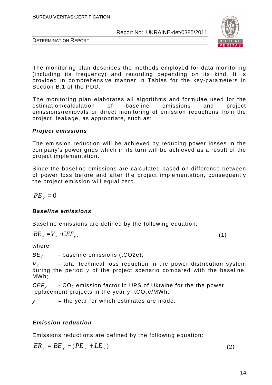

DETERMINATION REPORT

The monitoring plan describes the methods employed for data monitoring (including its frequency) and recording depending on its kind. It is provided in comprehensive manner in Tables for the key-parameters in Section B.1 of the PDD.

The monitoring plan elaborates all algorithms and formulae used for the estimation/calculation of baseline emissions and project emissions/removals or direct monitoring of emission reductions from the project, leakage, as appropriate, such as:

#### **Project emissions**

The еmission reduction will be achieved by reducing power losses in the company's power grids which in its turn will be achieved as a result of the project implementation.

Since the baseline emissions are calculated based on difference between of power loss before and after the project implementation, consequently the project emission will equal zero.

 $PE_y = 0$ 

#### **Baseline emissions**

Baseline emissions are defined by the following equation:

$$
BE_y = V_y \cdot CEF_y, \tag{1}
$$

where

 $BE<sub>v</sub>$  - baseline emissions (tCO2e);

 $V_{v}$  - total technical loss reduction in the power distribution system during the period y of the project scenario compared with the baseline, MWh;

*CEF<sub>y</sub>* - CO<sub>2</sub> emission factor in UPS of Ukraine for the the power replacement projects in the year y,  $tCO_2e/MWh$ ;

 $y =$  the year for which estimates are made.

# **Emission reduction**

Emissions reductions are defined by the following equation:

$$
ER_y = BE_y - (PE_y + LE_y), \qquad (2)
$$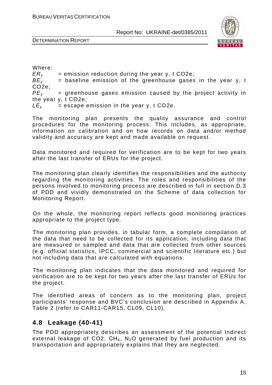



Where:  $ER_y$  = emission reduction during the year y, t CO2e;<br> $BE_y$  = baseline emission of the greenhouse gases  $=$  baseline emission of the greenhouse gases in the year y, t CO2e;  $PE<sub>v</sub>$  = greenhouse gases emission caused by the project activity in the year y, t CO2e;  $LE<sub>v</sub>$  = escape emission in the year y, t CO2e.

The monitoring plan presents the quality assurance and control procedures for the monitoring process. This includes, as appropriate, information on calibration and on how records on data and/or method validity and accuracy are kept and made available on request.

Data monitored and required for verification are to be kept for two years after the last transfer of ERUs for the project.

The monitoring plan clearly identifies the responsibilities and the authority regarding the monitoring activities. The roles and responsibilities of the persons involved to monitoring process are described in full in section D.3 of PDD and vividly demonstrated on the Scheme of data collection for Monitoring Report.

On the whole, the monitoring report reflects good monitoring practices appropriate to the project type.

The monitoring plan provides, in tabular form, a complete compilation of the data that need to be collected for its application, including data that are measured or sampled and data that are collected from other sources (e.g. official statistics, IPCC, commercial and scientific literature etc.) but not including data that are calculated with equations.

The monitoring plan indicates that the data monitored and required for verification are to be kept for two years after the last transfer of ERUs for the project.

The identified areas of concern as to the monitoring plan, project participants' response and BVC's conclusion are described in Appendix A, Table 2 (refer to CAR11-CAR15, CL09, CL10).

# **4.8 Leakage (40-41)**

The PDD appropriately describes an assessment of the potential Indirect external leakage of CO2,  $CH_4$ , N<sub>2</sub>O generated by fuel production and its transportation and appropriately explains that they are neglected.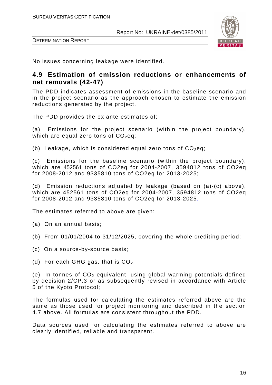



No issues concerning leakage were identified.

## **4.9 Estimation of emission reductions or enhancements of net removals (42-47)**

The PDD indicates assessment of emissions in the baseline scenario and in the project scenario as the approach chosen to estimate the emission reductions generated by the project.

The PDD provides the ex ante estimates of:

(a) Emissions for the project scenario (within the project boundary), which are equal zero tons of  $CO<sub>2</sub>$ eq;

(b) Leakage, which is considered equal zero tons of  $CO<sub>2</sub>$ eq;

(c) Emissions for the baseline scenario (within the project boundary), which are 452561 tons of CO2eq for 2004-2007, 3594812 tons of CO2eq for 2008-2012 and 9335810 tons of CO2eq for 2013-2025;

(d) Emission reductions adjusted by leakage (based on (a)-(c) above), which are 452561 tons of CO2eq for 2004-2007, 3594812 tons of CO2eq for 2008-2012 and 9335810 tons of CO2eq for 2013-2025.

The estimates referred to above are given:

- (a) On an annual basis;
- (b) From 01/01/2004 to 31/12/2025, covering the whole crediting period;
- (c) On a source-by-source basis;
- (d) For each GHG gas, that is  $CO<sub>2</sub>$ ;

(e) In tonnes of  $CO<sub>2</sub>$  equivalent, using global warming potentials defined by decision 2/CP.3 or as subsequently revised in accordance with Article 5 of the Kyoto Protocol;

The formulas used for calculating the estimates referred above are the same as those used for project monitoring and described in the section 4.7 above. All formulas are consistent throughout the PDD.

Data sources used for calculating the estimates referred to above are clearly identified, reliable and transparent.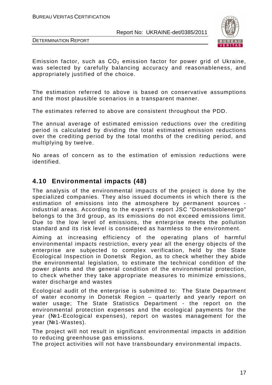



Emission factor, such as  $CO<sub>2</sub>$  emission factor for power grid of Ukraine, was selected by carefully balancing accuracy and reasonableness, and appropriately justified of the choice.

The estimation referred to above is based on conservative assumptions and the most plausible scenarios in a transparent manner.

The estimates referred to above are consistent throughout the PDD.

The annual average of estimated emission reductions over the crediting period is calculated by dividing the total estimated emission reductions over the crediting period by the total months of the crediting period, and multiplying by twelve.

No areas of concern as to the estimation of emission reductions were identified.

# **4.10 Environmental impacts (48)**

The analysis of the environmental impacts of the project is done by the specialized companies. They also issued documents in which there is the estimation of emissions into the atmosphere by permanent sources industrial areas. According to the expert's report JSC "Donetskoblenergo" belongs to the 3rd group, as its emissions do not exceed emissions limit. Due to the low level of emissions, the enterprise meets the pollution standard and its risk level is considered as harmless to the environment.

Aiming at increasing efficiency of the operating plans of harmful environmental impacts restriction, every year all the energy objects of the enterprise are subjected to complex verification, held by the State Ecological Inspection in Donetsk Region, as to check whether they abide the environmental legislation, to estimate the technical condition of the power plants and the general condition of the environmental protection, to check whether they take appropriate measures to minimize emissions, water discharge and wastes

Ecological audit of the enterprise is submitted to: The State Department of water economy in Donetsk Region – quarterly and yearly report on water usage; The State Statistics Department - the report on the environmental protection expenses and the ecological payments for the year (№1-Ecological expenses), report on wastes management for the year (№1-Wastes).

The project will not result in significant environmental impacts in addition to reducing greenhouse gas emissions.

The project activities will not have transboundary environmental impacts.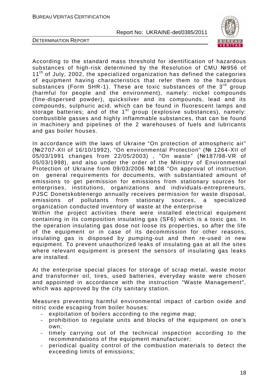

DETERMINATION REPORT

According to the standard mass threshold for identification of hazardous substances of high-risk determined by the Resolution of CMU №956 of  $11<sup>th</sup>$  of July, 2002, the specialized organization has defined the categories of equipment having characteristics that refer them to the hazardous substances (Form SHR-1). These are toxic substances of the  $3<sup>rd</sup>$  group (harmful for people and the environment), namely: nickel compounds (fine-dispersed powder), quicksilver and its compounds, lead and its compounds, sulphuric acid, which can be found in fluorescent lamps and storage batteries; and of the  $1<sup>st</sup>$  group (explosive substances), namely: combustible gasses and highly inflammable substances, that can be found in machinery and pipelines of the 2 warehouses of fuels and lubricants and gas boiler houses.

In accordance with the laws of Ukraine "On protection of atmospheric air" (№2707-XII of 16/10/1992), "On environmental Protection" (№ 1264-XII of 05/03/1991 changes from 22/05/2003) , "On waste" (№187/98-VR of 05/03/1998), and also under the order of the Ministry of Environmental Protection of Ukraine from 09/03/2006 №108 "On approval of instruction on general requirements for documents, with substantiated amount of emissions to get permission for emissions from stationary sources for enterprises, institutions, organizations and individuals-entrepreneurs, PJSC Donetskoblenergo annually receives permission for waste disposal, emissions of pollutants from stationary sources, a specialized organization conducted inventory of waste at the enterprise Within the project activities there were installed electrical equipment containing in its composition insulating gas (SF6) which is a toxic gas. In the operation insulating gas dose not loose its properties, so after the life of the equipment or in case of its decommission for other reasons, insulating gas is disposed by pumping-out and then re-used in new equipment. To prevent unauthorized leaks of insulating gas at all the sites where relevant equipment is present the sensors of insulating gas leaks are installed.

At the enterprise special places for storage of scrap metal, waste motor and transformer oil, tires, used batteries, everyday waste were chosen and appointed in accordance with the instruction "Waste Management", which was approved by the city sanitary station.

Measures preventing harmful environmental impact of carbon oxide and nitric oxide escaping from boiler houses:

- exploitation of boilers according to the regime map;
- prohibition to regulate units and blocks of the equipment on one's own;
- timely carrying out of the technical inspection according to the recommendations of the equipment manufacturer;
- periodical quality control of the combustion materials to detect the exceeding limits of emissions;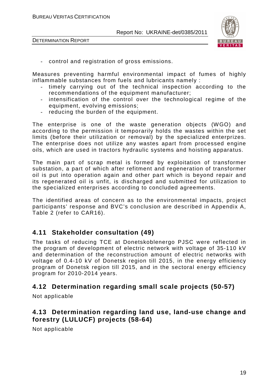

- control and registration of gross emissions.

Measures preventing harmful environmental impact of fumes of highly inflammable substances from fuels and lubricants namely :

- timely carrying out of the technical inspection according to the recommendations of the equipment manufacturer;
- intensification of the control over the technological regime of the equipment, evolving emissions;
- reducing the burden of the equipment.

The enterprise is one of the waste generation objects (WGO) and according to the permission it temporarily holds the wastes within the set limits (before their utilization or removal) by the specialized enterprizes. The enterprise does not utilize any wastes apart from processed engine oils, which are used in tractors hydraulic systems and hoisting apparatus.

The main part of scrap metal is formed by exploitation of transformer substation, a part of which after refitment and regeneration of transformer oil is put into operation again and other part which is beyond repair and its regenerated oil is unfit, is discharged and submitted for utilization to the specialized enterprises according to concluded agreements.

The identified areas of concern as to the environmental impacts, project participants' response and BVC's conclusion are described in Appendix A, Table 2 (refer to CAR16).

# **4.11 Stakeholder consultation (49)**

The tasks of reducing TCE at Donetskoblenergo PJSC were reflected in the program of development of electric network with voltage of 35-110 kV and determination of the reconstruction amount of electric networks with voltage of 0.4-10 kV of Donetsk region till 2015, in the energy efficiency program of Donetsk region till 2015, and in the sectoral energy efficiency program for 2010-2014 years.

# **4.12 Determination regarding small scale projects (50-57)**

Not applicable

# **4.13 Determination regarding land use, land-use change and forestry (LULUCF) projects (58-64)**

Not applicable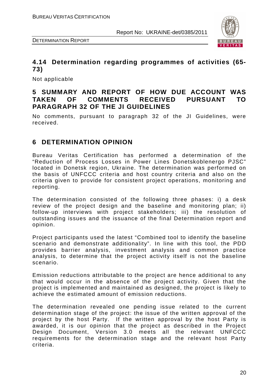



# **4.14 Determination regarding programmes of activities (65- 73)**

Not applicable

# **5 SUMMARY AND REPORT OF HOW DUE ACCOUNT WAS TAKEN OF COMMENTS RECEIVED PURSUANT TO PARAGRAPH 32 OF THE JI GUIDELINES**

No comments, pursuant to paragraph 32 of the JI Guidelines, were received.

# **6 DETERMINATION OPINION**

Bureau Veritas Certification has performed a determination of the "Reduction of Process Losses in Power Lines Donetskoblenergo PJSC" located in Donetsk region, Ukraine. The determination was performed on the basis of UNFCCC criteria and host country criteria and also on the criteria given to provide for consistent project operations, monitoring and reporting.

The determination consisted of the following three phases: i) a desk review of the project design and the baseline and monitoring plan; ii) follow-up interviews with project stakeholders; iii) the resolution of outstanding issues and the issuance of the final Determination report and opinion.

Project participants used the latest "Combined tool to identify the baseline scenario and demonstrate additionality". In line with this tool, the PDD provides barrier analysis, investment analysis and common practice analysis, to determine that the project activity itself is not the baseline scenario.

Emission reductions attributable to the project are hence additional to any that would occur in the absence of the project activity. Given that the project is implemented and maintained as designed, the project is likely to achieve the estimated amount of emission reductions.

The determination revealed one pending issue related to the current determination stage of the project: the issue of the written approval of the project by the host Party. If the written approval by the host Party is awarded, it is our opinion that the project as described in the Project Design Document, Version 3.0 meets all the relevant UNFCCC requirements for the determination stage and the relevant host Party criteria.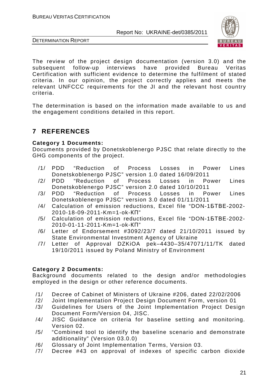



The review of the project design documentation (version 3.0) and the subsequent follow-up interviews have provided Bureau Veritas Certification with sufficient evidence to determine the fulfilment of stated criteria. In our opinion, the project correctly applies and meets the relevant UNFCCC requirements for the JI and the relevant host country criteria.

The determination is based on the information made available to us and the engagement conditions detailed in this report.

# **7 REFERENCES**

#### **Category 1 Documents:**

Documents provided by Donetskoblenergo PJSC that relate directly to the GHG components of the project.

- /1/ PDD "Reduction of Process Losses in Power Lines Donetskoblenergo PJSC" version 1.0 dated 16/09/2011
- /2/ PDD "Reduction of Process Losses in Power Lines Donetskoblenergo PJSC" version 2.0 dated 10/10/2011
- /3/ PDD "Reduction of Process Losses in Power Lines Donetskoblenergo PJSC" version 3.0 dated 01/11/2011
- /4/ Calculation of emission reductions, Excel file "DON-1БТВЕ-2002- 2010-18-09-2011-Km=1-ok-КП"
- /5/ Calculation of emission reductions, Excel file "DON-1БТВЕ-2002- 2010-01-11-2011-Km=1-ok-КП"
- /6/ Letter of Endorsement #3092/23/7 dated 21/10/2011 issued by State Environmental Investment Agency of Ukraine
- /7/ Letter of Approval DZKiOA pek–4430–35/47071/11/TK dated 19/10/2011 issued by Poland Ministry of Environment

#### **Category 2 Documents:**

Background documents related to the design and/or methodologies employed in the design or other reference documents.

- /1/ Decree of Cabinet of Ministers of Ukraine #206, dated 22/02/2006
- /2/ Joint Implementation Project Design Document Form, version 01
- /3/ Guidelines for Users of the Joint Implementation Project Design Document Form/Version 04, JISC.
- /4/ JISC Guidance on criteria for baseline setting and monitoring. Version 02.
- /5/ "Combined tool to identify the baseline scenario and demonstrate additionality" (Version 03.0.0)
- /6/ Glossary of Joint Implementation Terms, Version 03.
- /7/ Decree #43 on approval of indexes of specific carbon dioxide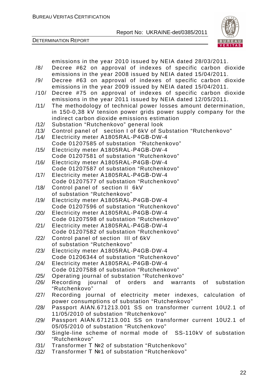



|      | emissions in the year 2010 issued by NEIA dated 28/03/2011.                       |
|------|-----------------------------------------------------------------------------------|
| /8/  | Decree #62 on approval of indexes of specific carbon dioxide                      |
|      | emissions in the year 2008 issued by NEIA dated 15/04/2011.                       |
| /9/  | Decree #63 on approval of indexes of specific carbon dioxide                      |
|      | emissions in the year 2009 issued by NEIA dated 15/04/2011.                       |
| /10/ | Decree #75 on approval of indexes of specific carbon dioxide                      |
|      | emissions in the year 2011 issued by NEIA dated 12/05/2011.                       |
| /11/ | The methodology of technical power losses amount determination,                   |
|      | in 150-0,38 kV tension power grids power supply company for the                   |
|      | indirect carbon dioxide emissions estimation                                      |
| /12/ | Substation "Rutchenkovo" general look                                             |
| /13/ | Control panel of section I of 6kV of Substation "Rutchenkovo"                     |
| /14/ | Electricity meter A1805RAL-P4GB-DW-4                                              |
|      | Code 01207585 of substation "Rutchenkovo"                                         |
| /15/ | Electricity meter A1805RAL-P4GB-DW-4                                              |
|      | Code 01207581 of substation "Rutchenkovo"                                         |
| /16/ |                                                                                   |
|      | Electricity meter A1805RAL-P4GB-DW-4<br>Code 01207587 of substation "Rutchenkovo" |
|      |                                                                                   |
| /17/ | Electricity meter A1805RAL-P4GB-DW-4                                              |
|      | Code 01207577 of substation "Rutchenkovo"                                         |
| /18/ | Control panel of section II 6kV                                                   |
|      | of substation "Rutchenkovo"                                                       |
| /19/ | Electricity meter A1805RAL-P4GB-DW-4                                              |
|      | Code 01207596 of substation "Rutchenkovo"                                         |
| /20/ | Electricity meter A1805RAL-P4GB-DW-4                                              |
|      | Code 01207598 of substation "Rutchenkovo"                                         |
| /21/ | Electricity meter A1805RAL-P4GB-DW-4                                              |
|      | Code 01207582 of substation "Rutchenkovo"                                         |
| /22/ | Control panel of section III of 6kV                                               |
|      | of substation "Rutchenkovo"                                                       |
| /23/ | Electricity meter A1805RAL-P4GB-DW-4                                              |
|      | Code 01206344 of substation "Rutchenkovo"                                         |
| /24/ | Electricity meter A1805RAL-P4GB-DW-4                                              |
|      | Code 01207588 of substation "Rutchenkovo"                                         |
| /25/ | Operating journal of substation "Rutchenkovo"                                     |
| /26/ | Recording journal of orders<br>and<br>substation<br>warrants of                   |
|      | "Rutchenkovo"                                                                     |
| /27/ | Recording journal of electricity meter indexes, calculation of                    |
|      | power consumptions of substation "Rutchenkovo"                                    |
| /28/ | Passport AIAN.671213.001 SS on transformer current 10U2.1 of                      |
|      | 11/05/2010 of substation "Rutchenkovo"                                            |
| /29/ | Passport AIAN.671213.001 SS on transformer current 10U2.1 of                      |
|      | 05/05/2010 of substation "Rutchenkovo"                                            |
| /30/ | Single-line scheme of normal mode of SS-110kV of substation                       |
|      | "Rutchenkovo"                                                                     |
| /31/ | Transformer T №2 of substation "Rutchenkovo"                                      |
| 1291 | Transformer T No1 of substation "Rutchenkovo"                                     |

 $/32/$  Transformer T  $N<sup>21</sup>$  of substation "Rutchenkovo"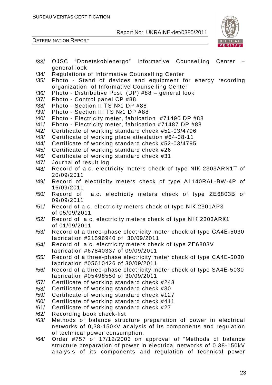

| /33/ | OJSC "Donetskoblenergo" Informative Counselling Center              |
|------|---------------------------------------------------------------------|
|      | general look                                                        |
| /34/ | Regulations of Informative Counselling Center                       |
| /35/ | Photo - Stand of devices and equipment for energy recording         |
|      | organization of Informative Counselling Center                      |
| /36/ | Photo - Distributive Post (DP) #88 - general look                   |
| /37/ | Photo - Control panel CP #88                                        |
| /38/ | Photo - Section II TS №1 DP #88                                     |
| /39/ | Photo - Section III TS №1 DP #88                                    |
| /40/ | Photo - Electricity meter, fabrication #71490 DP #88                |
| /41/ | Photo - Electricity meter, fabrication #71487 DP #88                |
| /42/ | Certificate of working standard check #52-03/4796                   |
| /43/ | Certificate of working place attestation #64-08-11                  |
| /44/ | Certificate of working standard check #52-03/4795                   |
| /45/ | Certificate of working standard check #26                           |
| /46/ | Certificate of working standard check #31                           |
| /47/ | Journal of result log                                               |
| /48/ | Record of a.c. electricity meters check of type NIK 2303ARN1T of    |
|      | 20/09/2011                                                          |
| /49/ | Record of electricity meters check of type A1140RAL-BW-4P of        |
|      | 16/09/2011                                                          |
| /50/ | Record of a.c. electricity meters check of type ZE6803B of          |
|      | 09/09/2011                                                          |
| /51/ | Record of a.c. electricity meters check of type NIK 2301AP3         |
|      | of 05/09/2011                                                       |
| /52/ | Record of a.c. electricity meters check of type NIK 2303ARK1        |
|      | of 01/09/2011                                                       |
| /53/ | Record of a three-phase electricity meter check of type CA4E-5030   |
|      | fabrication #21596940 of 30/09/2011                                 |
| /54/ | Record of a.c. electricity meters check of type ZE6803V             |
|      | fabrication #67840337 of 09/09/2011                                 |
| /55/ | Record of a three-phase electricity meter check of type CA4E-5030   |
|      | fabrication #05610426 of 30/09/2011                                 |
| /56/ | Record of a three-phase electricity meter check of type SA4E-5030   |
|      | fabrication #05498550 of 30/09/2011                                 |
| /57/ | Certificate of working standard check #243                          |
| /58/ | Certificate of working standard check #30                           |
| /59/ | Certificate of working standard check #127                          |
| /60/ | Certificate of working standard check #411                          |
| /61/ | Certificate of working standard check #27                           |
| /62/ | Recording book check-list                                           |
| /63/ | Methods of balance structure preparation of power in electrical     |
|      | networks of 0,38-150kV analysis of its components and regulation    |
|      | of technical power consumption.                                     |
| /64/ | Order #757 of 17/12/2003 on approval of "Methods of balance         |
|      | structure preparation of power in electrical networks of 0,38-150kV |
|      | analysis of its components and regulation of technical power        |
|      |                                                                     |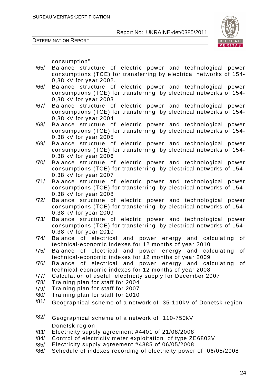



consumption"

- /65/ Balance structure of electric power and technological power consumptions (ТCE) for transferring by electrical networks of 154- 0,38 kV for year 2002.
- /66/ Balance structure of electric power and technological power consumptions (ТCE) for transferring by electrical networks of 154- 0,38 kV for year 2003
- /67/ Balance structure of electric power and technological power consumptions (ТCE) for transferring by electrical networks of 154- 0,38 kV for year 2004
- /68/ Balance structure of electric power and technological power consumptions (ТCE) for transferring by electrical networks of 154- 0,38 kV for year 2005
- /69/ Balance structure of electric power and technological power consumptions (ТCE) for transferring by electrical networks of 154- 0,38 kV for year 2006
- /70/ Balance structure of electric power and technological power consumptions (ТCE) for transferring by electrical networks of 154- 0,38 kV for year 2007
- /71/ Balance structure of electric power and technological power consumptions (ТCE) for transferring by electrical networks of 154- 0,38 kV for year 2008
- /72/ Balance structure of electric power and technological power consumptions (ТCE) for transferring by electrical networks of 154- 0,38 kV for year 2009
- /73/ Balance structure of electric power and technological power consumptions (ТCE) for transferring by electrical networks of 154- 0,38 kV for year 2010
- /74/ Balance of electrical and power energy and calculating of technical-economic indexes for 12 months of year 2010
- /75/ Balance of electrical and power energy and calculating of technical-economic indexes for 12 months of year 2009
- /76/ Balance of electrical and power energy and calculating of technical-economic indexes for 12 months of year 2008
- /77/ Calculation of useful electricity supply for December 2007
- /78/ Training plan for staff for 2004
- /79/ Training plan for staff for 2007
- /80/ Training plan for staff for 2010
- $\frac{181}{181}$  Geographical scheme of a network of 35-110kV of Donetsk region
- /82/ Geographical scheme of a network of 110-750kV Donetsk region
- /83/ Electricity supply agreement #4401 of 21/08/2008
- /84/ Control of electricity meter exploitation of type ZЕ6803V
- /85/ Electricity supply agreement #4385 of 06/05/2008
- /86/ Schedule of indexes recording of electricity power of 06/05/2008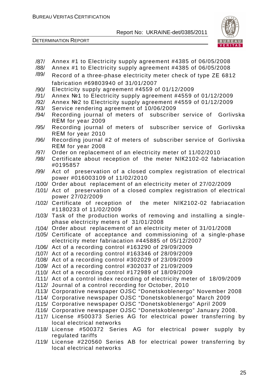



- /87/ Annex #1 to Electricity supply agreement #4385 of 06/05/2008
- /88/ Annex #1 to Electricity supply agreement #4385 of 06/05/2008
- $\frac{189}{189}$  Record of a three-phase electricity meter check of type ZE 6812 fabrication #69803940 of 31/01/2007
- /90/ Electricity supply agreement #4559 of 01/12/2009
- /91/ Annex №1 to Electricity supply agreement #4559 of 01/12/2009
- /92/ Annex №2 to Electricity supply agreement #4559 of 01/12/2009
- /93/ Service rendering agreement of 10/06/2009
- /94/ Recording journal of meters of subscriber service of Gorlivska RЕМ for year 2009
- /95/ Recording journal of meters of subscriber service of Gorlivska RЕМ for year 2010
- /96/ Recording journal #2 of meters of subscriber service of Gorlivska RЕМ for year 2008
- /97/ Order on replacement of an electricity meter of 11/02/2010
- /98/ Certificate about reception of the meter NІК2102-02 fabriacation #0195857
- /99/ Act of preservation of a closed complex registration of electrical power #016003109 of 11/02/2010
- /100/ Order about replacement of an electricity meter of 27/02/2009
- /101/ Act of preservation of a closed complex registration of electrical power 27/02/2009
- /102/ Certificate of reception of the meter NІК2102-02 fabriacation #1180233 of 11/02/2009
- /103/ Task of the production works of removing and installing a singlephase electricity meters of 31/01/2008
- /104/ Order about replacement of an electricity meter of 31/01/2008
- /105/ Certificate of acceptance and commissioning of a single-phase electricity meter fabriacation #445885 of 05/12/2007
- /106/ Act of a recording control #163290 of 29/09/2009
- /107/ Act of a recording control #163346 of 28/09/2009
- /108/ Act of a recording control #302029 of 23/09/2009
- /109/ Act of a recording control #302037 of 21/09/2009
- /110/ Act of a recording control #172989 of 18/09/2009
- /111/ Act of a control index recording of electricity meter of 18/09/2009
- /112/ Journal of a control recording for October, 2010
- /113/ Corporative newspaper OJSC "Donetskoblenergo" November 2008
- /114/ Corporative newspaper OJSC "Donetskoblenergo" March 2009
- /115/ Corporative newspaper OJSC "Donetskoblenergo" April 2009
- /116/ Corporative newspaper OJSC "Donetskoblenergo" January 2008.
- /117/ License #500373 Series АG for electrical power transferring by local electrical networks
- /118/ License #500372 Series АG for electrical power supply by regulated tariffs
- /119/ License #220560 Series АB for electrical power transferring by local electrical networks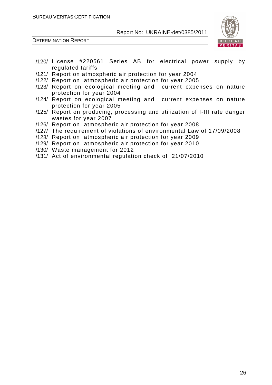

- /120/ License #220561 Series АB for electrical power supply by regulated tariffs
- /121/ Report on atmospheric air protection for year 2004
- /122/ Report on atmospheric air protection for year 2005
- /123/ Report on ecological meeting and current expenses on nature protection for year 2004
- /124/ Report on ecological meeting and current expenses on nature protection for year 2005
- /125/ Report on producing, processing and utilization of I-III rate danger wastes for year 2007
- /126/ Report on atmospheric air protection for year 2008
- /127/ The requirement of violations of environmental Law of 17/09/2008
- /128/ Report on atmospheric air protection for year 2009
- /129/ Report on atmospheric air protection for year 2010
- /130/ Waste management for 2012
- /131/ Act of environmental regulation check of 21/07/2010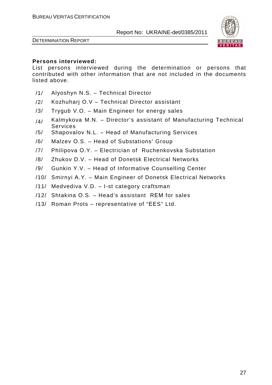

DETERMINATION REPORT

#### **Persons interviewed:**

List persons interviewed during the determination or persons that contributed with other information that are not included in the documents listed above.

- /1/ Alyoshyn N.S. Technical Director
- /2/ Kozhuharj O.V Technical Director assistant
- /3/ Trygub V.O. Main Engineer for energy sales
- $/4/$  Kalmykova M.N. Director's assistant of Manufacturing Technical Services
- /5/ Shapovalov N.L. Head of Manufacturing Services
- /6/ Malzev О.S. Head of Substations' Group
- /7/ Philipova О.Y. Electrician of Ruchenkovska Substation
- /8/ Zhukov D.V. Head of Donetsk Electrical Networks
- /9/ Gunkin Y.V. Head of Informative Counselling Center
- /10/ Smirnyi А.Y. Main Engineer of Donetsk Electrical Networks
- /11/ Medvediva V.D. I-st category craftsman
- /12/ Shtakina О.S. Head's assistant RЕМ for sales
- /13/ Roman Prots representative of "ЕЕS" Ltd.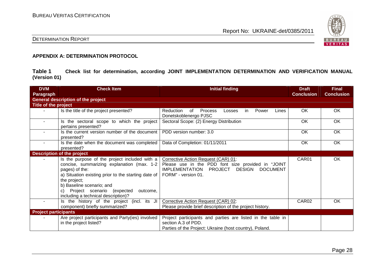

## DETERMINATION REPORT

#### **APPENDIX A: DETERMINATION PROTOCOL**

**Table 1 Check list for determination, according JOINT IMPLEMENTATION DETERMINATION AND VERIFICATION MANUAL (Version 01)** 

| <b>DVM</b><br>Paragraph     | <b>Check Item</b>                                                                                                                                                                                                                                                                                        | <b>Initial finding</b>                                                                                                                                               | <b>Draft</b><br><b>Conclusion</b> | <b>Final</b><br><b>Conclusion</b> |
|-----------------------------|----------------------------------------------------------------------------------------------------------------------------------------------------------------------------------------------------------------------------------------------------------------------------------------------------------|----------------------------------------------------------------------------------------------------------------------------------------------------------------------|-----------------------------------|-----------------------------------|
|                             | <b>General description of the project</b>                                                                                                                                                                                                                                                                |                                                                                                                                                                      |                                   |                                   |
| Title of the project        |                                                                                                                                                                                                                                                                                                          |                                                                                                                                                                      |                                   |                                   |
|                             | Is the title of the project presented?                                                                                                                                                                                                                                                                   | 0f<br><b>Process</b><br>Reduction<br>Power<br>Lines<br>Losses<br>in.<br>Donetskoblenergo PJSC                                                                        | OK                                | OK                                |
| $\sim$                      | Is the sectoral scope to which the project<br>pertains presented?                                                                                                                                                                                                                                        | Sectoral Scope: (2) Energy Distribution                                                                                                                              | OK                                | OK                                |
|                             | Is the current version number of the document<br>presented?                                                                                                                                                                                                                                              | PDD version number: 3.0                                                                                                                                              | OK                                | OK                                |
| $\sim$                      | Is the date when the document was completed<br>presented?                                                                                                                                                                                                                                                | Data of Completion: 01/11/2011                                                                                                                                       | OK.                               | OK                                |
|                             | <b>Description of the project</b>                                                                                                                                                                                                                                                                        |                                                                                                                                                                      |                                   |                                   |
|                             | Is the purpose of the project included with a<br>concise, summarizing explanation (max. 1-2<br>pages) of the:<br>a) Situation existing prior to the starting date of<br>the project;<br>b) Baseline scenario; and<br>Project scenario (expected<br>outcome,<br>C)<br>including a technical description)? | Corrective Action Request (CAR) 01:<br>Please use in the PDD font size provided in "JOINT<br>PROJECT DESIGN DOCUMENT<br><b>IMPLEMENTATION</b><br>FORM" - version 01. | CAR01                             | OK                                |
| $\sim$                      | Is the history of the project (incl. its JI<br>component) briefly summarized?                                                                                                                                                                                                                            | Corrective Action Request (CAR) 02:<br>Please provide brief description of the project history.                                                                      | CAR <sub>02</sub>                 | <b>OK</b>                         |
| <b>Project participants</b> |                                                                                                                                                                                                                                                                                                          |                                                                                                                                                                      |                                   |                                   |
|                             | Are project participants and Party(ies) involved<br>in the project listed?                                                                                                                                                                                                                               | Project participants and parties are listed in the table in<br>section A.3 of PDD.<br>Parties of the Project: Ukraine (host country), Poland.                        |                                   |                                   |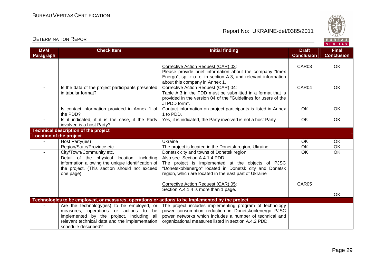

| <b>DVM</b><br><b>Paragraph</b> | <b>Check Item</b>                                                                                                                                                                                         | <b>Initial finding</b>                                                                                                                                                                                                             | <b>Draft</b><br><b>Conclusion</b> | <b>Final</b><br><b>Conclusion</b> |
|--------------------------------|-----------------------------------------------------------------------------------------------------------------------------------------------------------------------------------------------------------|------------------------------------------------------------------------------------------------------------------------------------------------------------------------------------------------------------------------------------|-----------------------------------|-----------------------------------|
|                                |                                                                                                                                                                                                           | Corrective Action Request (CAR) 03:<br>Please provide brief information about the company "Imex<br>Energo", sp. z o. o. in section A.3, and relevant information<br>about this company in Annex 1.                                 | CAR03                             | OK                                |
|                                | Is the data of the project participants presented<br>in tabular format?                                                                                                                                   | Corrective Action Request (CAR) 04:<br>Table A.3 in the PDD must be submitted in a format that is<br>provided in the version 04 of the "Guidelines for users of the<br>JI PDD form".                                               | CAR04                             | OK                                |
| $\sim$                         | Is contact information provided in Annex 1 of<br>the PDD?                                                                                                                                                 | Contact information on project participants is listed in Annex<br>1 to PDD.                                                                                                                                                        | OK.                               | OK                                |
|                                | Is it indicated, if it is the case, if the Party<br>involved is a host Party?                                                                                                                             | Yes, it is indicated, the Party involved is not a host Party                                                                                                                                                                       | OK                                | OK                                |
|                                | <b>Technical description of the project</b>                                                                                                                                                               |                                                                                                                                                                                                                                    |                                   |                                   |
| <b>Location of the project</b> |                                                                                                                                                                                                           |                                                                                                                                                                                                                                    |                                   |                                   |
|                                | Host Party(ies)                                                                                                                                                                                           | Ukraine                                                                                                                                                                                                                            | OK                                | OK                                |
|                                | Region/State/Province etc.                                                                                                                                                                                | The project is located in the Donetsk region, Ukraine                                                                                                                                                                              | OK                                | OK                                |
|                                | City/Town/Community etc.                                                                                                                                                                                  | Donetsk city and towns of Donetsk region                                                                                                                                                                                           | $\overline{OK}$                   | OK                                |
| $\sim$                         | Detail of the physical location, including<br>information allowing the unique identification of<br>the project. (This section should not exceed<br>one page)                                              | Also see. Section A.4.1.4 PDD.<br>The project is implemented at the objects of PJSC<br>"Donetskoblenergo" located in Donetsk city and Donetsk<br>region, which are located in the east part of Ukraine                             |                                   |                                   |
|                                |                                                                                                                                                                                                           | Corrective Action Request (CAR) 05:<br>Section A.4.1.4 is more than 1 page.                                                                                                                                                        | CAR05                             |                                   |
|                                |                                                                                                                                                                                                           |                                                                                                                                                                                                                                    |                                   | <b>OK</b>                         |
|                                | Technologies to be employed, or measures, operations or actions to be implemented by the project                                                                                                          |                                                                                                                                                                                                                                    |                                   |                                   |
|                                | Are the technology(ies) to be employed, or<br>measures, operations or actions to be<br>implemented by the project, including all<br>relevant technical data and the implementation<br>schedule described? | The project includes implementing program of technology<br>power consumption reduction in Donetskoblenergo PJSC<br>power networks which includes a number of technical and<br>organizational measures listed in section A.4.2 PDD. |                                   |                                   |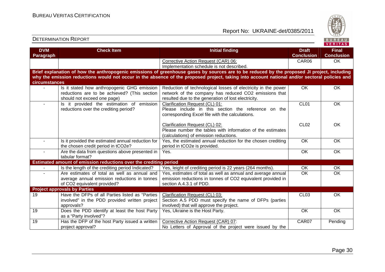Report No: UKRAINE-det/0385/2011



#### **VERITAS Check Item Initial finding Check Item Initial finding Check Item Initial finding Check Item Initial finding Check DVM Final Paragraph Conclusion Conclusion** Corrective Action Request (CAR) 06: CAR06 OK Implementation schedule is not described. **Brief explanation of how the anthropogenic emissions of greenhouse gases by sources are to be reduced by the proposed JI project, including why the emission reductions would not occur in the absence of the proposed project, taking into account national and/or sectoral policies and circumstances** - | Is it stated how anthropogenic GHG emission Reduction of technological losses of electricity in the power OK OK reductions are to be achieved? (This section network of the company has reduced CO2 emissions that should not exceed one page) resulted due to the generation of lost electricity.CL01 **OK** - **Is it provided the estimation of emission** Clarification Request (CL) 01:reductions over the crediting period? Please include in this section the reference on thecorresponding Excel file with the calculations. Clarification Request (CL) 02:CL02 **OK**  Please number the tables with information of the estimates (calculations) of emission reductions. - Is it provided the estimated annual reduction for Yes, the estimated annual reduction for the chosen crediting OK OK period in tCO2e is provided. the chosen credit period in tCO2e? - | Are the data from questions above presented in Yes. OK OK tabular format? **Estimated amount of emission reductions over the crediting period** - | Is the length of the crediting period Indicated? | Yes, leight of crediting period is 22 years (264 months). | OK | OK - Are estimates of total as well as annual and Yes, estimates of total as well as annual and average annual OK OK average annual emission reductions in tonnes emission reductions in tonnes of CO2 equivalent provided in section A.4.3.1 of PDD. of CO2 equivalent provided? **Project approvals by Parties**  19 Have the DFPs of all Parties listed as "Parties CL03 OK Clarification Request (CL) 03: involved" in the PDD provided written project Section A.5 PDD must specify the name of DFPs (parties approvals? involved) that will approve the project. 19 **Does the PDD identify at least the host Party** Yes, Ukraine is the Host Party. The Context Context of Context Context OK OK as a "Party involved"? 19 | Has the DFP of the host Party issued a written Corrective Action Request (CAR) 07: CAR07 | Pending project approval? No Letters of Approval of the project were issued by the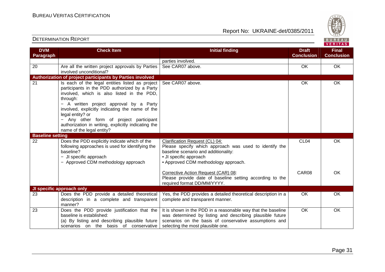

| <b>DVM</b>              | <b>Check Item</b>                                                                                                                                                                                                                                                                                                                                 | <b>Initial finding</b>                                                                                                                                                                                                   | <b>Draft</b>      | <b>Final</b>      |
|-------------------------|---------------------------------------------------------------------------------------------------------------------------------------------------------------------------------------------------------------------------------------------------------------------------------------------------------------------------------------------------|--------------------------------------------------------------------------------------------------------------------------------------------------------------------------------------------------------------------------|-------------------|-------------------|
| Paragraph               |                                                                                                                                                                                                                                                                                                                                                   |                                                                                                                                                                                                                          | <b>Conclusion</b> | <b>Conclusion</b> |
|                         |                                                                                                                                                                                                                                                                                                                                                   | parties involved.                                                                                                                                                                                                        |                   |                   |
| 20                      | Are all the written project approvals by Parties<br>involved unconditional?                                                                                                                                                                                                                                                                       | See CAR07 above.                                                                                                                                                                                                         | OK                | OK                |
|                         | Authorization of project participants by Parties involved                                                                                                                                                                                                                                                                                         |                                                                                                                                                                                                                          |                   |                   |
| 21                      | Is each of the legal entities listed as project<br>participants in the PDD authorized by a Party<br>involved, which is also listed in the PDD,<br>through:<br>- A written project approval by a Party<br>involved, explicitly indicating the name of the<br>legal entity? or<br>Any other form of project participant<br>$\overline{\phantom{0}}$ | See CAR07 above.                                                                                                                                                                                                         | OK                | OK                |
|                         | authorization in writing, explicitly indicating the<br>name of the legal entity?                                                                                                                                                                                                                                                                  |                                                                                                                                                                                                                          |                   |                   |
| <b>Baseline setting</b> |                                                                                                                                                                                                                                                                                                                                                   |                                                                                                                                                                                                                          |                   |                   |
| 22                      | Does the PDD explicitly indicate which of the<br>following approaches is used for identifying the<br>baseline?<br>- JI specific approach<br>- Approved CDM methodology approach                                                                                                                                                                   | Clarification Request (CL) 04:<br>Please specify which approach was used to identify the<br>baseline scenario and additionality:<br>• JI specific approach<br>• Approved CDM methodology approach.                       | CL <sub>04</sub>  | OK                |
|                         |                                                                                                                                                                                                                                                                                                                                                   | Corrective Action Request (CAR) 08:<br>Please provide date of baseline setting according to the<br>required format DD/MM/YYYY.                                                                                           | CAR08             | <b>OK</b>         |
|                         | JI specific approach only                                                                                                                                                                                                                                                                                                                         |                                                                                                                                                                                                                          |                   |                   |
| 23                      | Does the PDD provide a detailed theoretical<br>description in a complete and transparent<br>manner?                                                                                                                                                                                                                                               | Yes, the PDD provides a detailed theoretical description in a<br>complete and transparent manner.                                                                                                                        | <b>OK</b>         | OK                |
| 23                      | Does the PDD provide justification that the<br>baseline is established:<br>(a) By listing and describing plausible future<br>scenarios on the basis of conservative                                                                                                                                                                               | It is shown in the PDD in a reasonable way that the baseline<br>was determined by listing and describing plausible future<br>scenarios on the basis of conservative assumptions and<br>selecting the most plausible one. | $\overline{OK}$   | OK                |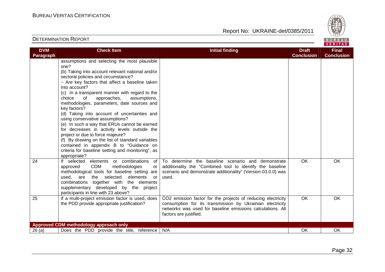

| assumptions and selecting the most plausible<br>one?<br>(b) Taking into account relevant national and/or<br>sectoral policies and circumstance?<br>- Are key factors that affect a baseline taken<br>into account?<br>(c) In a transparent manner with regard to the<br>of<br>approaches,<br>choice<br>assumptions,<br>methodologies, parameters, date sources and<br>key factors?<br>(d) Taking into account of uncertainties and<br>using conservative assumptions?<br>(e) In such a way that ERUs cannot be earned<br>for decreases in activity levels outside the<br>project or due to force majeure?<br>(f) By drawing on the list of standard variables<br>contained in appendix B to "Guidance on<br>criteria for baseline setting and monitoring", as<br>appropriate?<br><b>OK</b><br>If selected<br>elements or combinations<br>To determine the baseline scenario and demonstrate<br>OK<br>of<br><b>CDM</b><br>methodologies<br>additionality the "Combined tool to identify the baseline<br>approved<br>or<br>methodological tools for baseline setting are<br>scenario and demonstrate additionality" (Version 03.0.0) was<br>elements<br>used.<br>used, are<br>the selected<br>or<br>combinations together with the elements<br>supplementary developed by the project<br>participants in line with 23 above?<br>$\overline{OK}$<br>CO2 emission factor for the projects of reducing electricity<br>OK<br>If a multi-project emission factor is used, does<br>the PDD provide appropriate justification?<br>consumption for its transmission by Ukrainian electricity<br>networks was used for baseline emissions calculations. All<br>factors are justified.<br>Approved CDM methodology approach only<br>Does the PDD provide the title, reference<br>N/A<br><b>OK</b><br>26(a)<br>OK | <b>DVM</b>       | <b>Check Item</b> | <b>Initial finding</b> | <b>Draft</b>      | <b>Final</b>      |
|------------------------------------------------------------------------------------------------------------------------------------------------------------------------------------------------------------------------------------------------------------------------------------------------------------------------------------------------------------------------------------------------------------------------------------------------------------------------------------------------------------------------------------------------------------------------------------------------------------------------------------------------------------------------------------------------------------------------------------------------------------------------------------------------------------------------------------------------------------------------------------------------------------------------------------------------------------------------------------------------------------------------------------------------------------------------------------------------------------------------------------------------------------------------------------------------------------------------------------------------------------------------------------------------------------------------------------------------------------------------------------------------------------------------------------------------------------------------------------------------------------------------------------------------------------------------------------------------------------------------------------------------------------------------------------------------------------------------------------------------------------------------------------------------------|------------------|-------------------|------------------------|-------------------|-------------------|
|                                                                                                                                                                                                                                                                                                                                                                                                                                                                                                                                                                                                                                                                                                                                                                                                                                                                                                                                                                                                                                                                                                                                                                                                                                                                                                                                                                                                                                                                                                                                                                                                                                                                                                                                                                                                      | <b>Paragraph</b> |                   |                        | <b>Conclusion</b> | <b>Conclusion</b> |
|                                                                                                                                                                                                                                                                                                                                                                                                                                                                                                                                                                                                                                                                                                                                                                                                                                                                                                                                                                                                                                                                                                                                                                                                                                                                                                                                                                                                                                                                                                                                                                                                                                                                                                                                                                                                      |                  |                   |                        |                   |                   |
|                                                                                                                                                                                                                                                                                                                                                                                                                                                                                                                                                                                                                                                                                                                                                                                                                                                                                                                                                                                                                                                                                                                                                                                                                                                                                                                                                                                                                                                                                                                                                                                                                                                                                                                                                                                                      | 24               |                   |                        |                   |                   |
|                                                                                                                                                                                                                                                                                                                                                                                                                                                                                                                                                                                                                                                                                                                                                                                                                                                                                                                                                                                                                                                                                                                                                                                                                                                                                                                                                                                                                                                                                                                                                                                                                                                                                                                                                                                                      | $\overline{25}$  |                   |                        |                   |                   |
|                                                                                                                                                                                                                                                                                                                                                                                                                                                                                                                                                                                                                                                                                                                                                                                                                                                                                                                                                                                                                                                                                                                                                                                                                                                                                                                                                                                                                                                                                                                                                                                                                                                                                                                                                                                                      |                  |                   |                        |                   |                   |
|                                                                                                                                                                                                                                                                                                                                                                                                                                                                                                                                                                                                                                                                                                                                                                                                                                                                                                                                                                                                                                                                                                                                                                                                                                                                                                                                                                                                                                                                                                                                                                                                                                                                                                                                                                                                      |                  |                   |                        |                   |                   |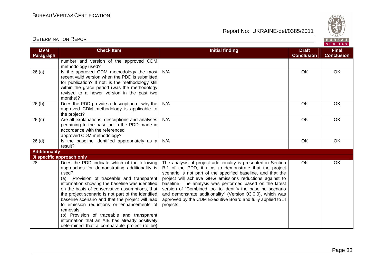

| <b>DVM</b>           | <b>Check Item</b>                                                                          | <b>Initial finding</b>                                        | <b>Draft</b>      | <b>Final</b>      |
|----------------------|--------------------------------------------------------------------------------------------|---------------------------------------------------------------|-------------------|-------------------|
| Paragraph            |                                                                                            |                                                               | <b>Conclusion</b> | <b>Conclusion</b> |
|                      | number and version of the approved CDM                                                     |                                                               |                   |                   |
|                      | methodology used?                                                                          |                                                               |                   |                   |
| 26(a)                | Is the approved CDM methodology the most                                                   | N/A                                                           | OK                | OK                |
|                      | recent valid version when the PDD is submitted                                             |                                                               |                   |                   |
|                      | for publication? If not, is the methodology still                                          |                                                               |                   |                   |
|                      | within the grace period (was the methodology<br>revised to a newer version in the past two |                                                               |                   |                   |
|                      | months)?                                                                                   |                                                               |                   |                   |
| 26(b)                | Does the PDD provide a description of why the                                              | N/A                                                           | OK                | OK                |
|                      | approved CDM methodology is applicable to                                                  |                                                               |                   |                   |
|                      | the project?                                                                               |                                                               |                   |                   |
| 26(c)                | Are all explanations, descriptions and analyses                                            | N/A                                                           | OK                | OK                |
|                      | pertaining to the baseline in the PDD made in                                              |                                                               |                   |                   |
|                      | accordance with the referenced                                                             |                                                               |                   |                   |
|                      | approved CDM methodology?                                                                  |                                                               |                   |                   |
| 26 <sub>(d)</sub>    | Is the baseline identified appropriately as a                                              | N/A                                                           | OK                | OK                |
|                      | result?                                                                                    |                                                               |                   |                   |
| <b>Additionality</b> |                                                                                            |                                                               |                   |                   |
|                      | JI specific approach only                                                                  |                                                               |                   |                   |
| 28                   | Does the PDD indicate which of the following                                               | The analysis of project additionality is presented in Section | OK                | OK                |
|                      | approaches for demonstrating additionality is                                              | B.1 of the PDD, it aims to demonstrate that the project       |                   |                   |
|                      | used?                                                                                      | scenario is not part of the specified baseline, and that the  |                   |                   |
|                      | Provision of traceable and transparent<br>(a)                                              | project will achieve GHG emissions reductions against to      |                   |                   |
|                      | information showing the baseline was identified                                            | baseline. The analysis was performed based on the latest      |                   |                   |
|                      | on the basis of conservative assumptions, that                                             | version of "Combined tool to identify the baseline scenario   |                   |                   |
|                      | the project scenario is not part of the identified                                         | and demonstrate additionality" (Version 03.0.0), which was    |                   |                   |
|                      | baseline scenario and that the project will lead                                           | approved by the CDM Executive Board and fully applied to JI   |                   |                   |
|                      | to emission reductions or enhancements of                                                  | projects.                                                     |                   |                   |
|                      | removals;                                                                                  |                                                               |                   |                   |
|                      | (b) Provision of traceable and transparent                                                 |                                                               |                   |                   |
|                      | information that an AIE has already positively                                             |                                                               |                   |                   |
|                      | determined that a comparable project (to be)                                               |                                                               |                   |                   |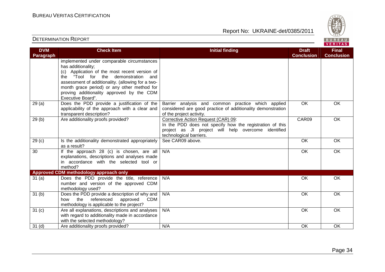

| <b>DVM</b><br>Paragraph | <b>Check Item</b>                                                                                                                                                                                                                                                                                         | <b>Initial finding</b>                                                                                                                                                            | <b>Draft</b><br><b>Conclusion</b> | <b>Final</b><br><b>Conclusion</b> |
|-------------------------|-----------------------------------------------------------------------------------------------------------------------------------------------------------------------------------------------------------------------------------------------------------------------------------------------------------|-----------------------------------------------------------------------------------------------------------------------------------------------------------------------------------|-----------------------------------|-----------------------------------|
|                         | implemented under comparable circumstances<br>has additionality;<br>(c) Application of the most recent version of<br>the "Tool for the demonstration and<br>assessment of additionality. (allowing for a two-<br>month grace period) or any other method for<br>proving additionality approved by the CDM |                                                                                                                                                                                   |                                   |                                   |
|                         | Executive Board".                                                                                                                                                                                                                                                                                         |                                                                                                                                                                                   |                                   |                                   |
| 29(a)                   | Does the PDD provide a justification of the<br>applicability of the approach with a clear and<br>transparent description?                                                                                                                                                                                 | Barrier analysis and common practice which applied<br>considered are good practice of additionality demonstration<br>of the project activity.                                     | OK                                | OK                                |
| 29(b)                   | Are additionality proofs provided?                                                                                                                                                                                                                                                                        | Corrective Action Request (CAR) 09:<br>In the PDD does not specify how the registration of this<br>project as JI project will help overcome identified<br>technological barriers. | CAR09                             | OK                                |
| 29 <sub>(c)</sub>       | Is the additionality demonstrated appropriately<br>as a result?                                                                                                                                                                                                                                           | See CAR09 above.                                                                                                                                                                  | OK                                | OK                                |
| $\overline{30}$         | If the approach 28 (c) is chosen, are all<br>explanations, descriptions and analyses made<br>in accordance with the selected tool or<br>method?                                                                                                                                                           | N/A                                                                                                                                                                               | $\overline{OK}$                   | OK                                |
|                         | <b>Approved CDM methodology approach only</b>                                                                                                                                                                                                                                                             |                                                                                                                                                                                   |                                   |                                   |
| 31(a)                   | Does the PDD provide the title, reference<br>number and version of the approved CDM<br>methodology used?                                                                                                                                                                                                  | N/A                                                                                                                                                                               | OK                                | OK                                |
| 31 <sub>(b)</sub>       | Does the PDD provide a description of why and<br>the<br>referenced<br><b>CDM</b><br>how<br>approved<br>methodology is applicable to the project?                                                                                                                                                          | N/A                                                                                                                                                                               | OK                                | OK                                |
| 31 <sub>(c)</sub>       | Are all explanations, descriptions and analyses<br>with regard to additionality made in accordance<br>with the selected methodology?                                                                                                                                                                      | N/A                                                                                                                                                                               | OK                                | OK                                |
| 31 <sub>(d)</sub>       | Are additionality proofs provided?                                                                                                                                                                                                                                                                        | N/A                                                                                                                                                                               | OK                                | OK                                |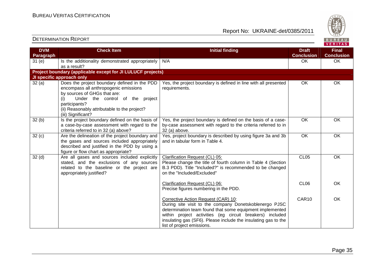Report No: UKRAINE-det/0385/2011



#### VERITAS **Check Item Initial finding Check Item Initial finding Check Item Initial finding Check Item Initial finding Check DVM Final Paragraph Conclusion Conclusion** 31 (e) Is the additionality demonstrated appropriately  $\big| N/A \big|$ N/A OK OK OK as a result? **Project boundary (applicable except for JI LULUCF projects) JI specific approach only**  32 (a) Does the project boundary defined in the PDDYes, the project boundary is defined in line with all presented OK OK encompass all anthropogenic emissions requirements. by sources of GHGs that are: (i) Under the control of the project participants? (ii) Reasonably attributable to the project? (iii) Significant? OK OK  $32(b)$  Is the project boundary defined on the basis of Yes, the project boundary is defined on the basis of a caseby-case assessment with regard to the criteria referred to in a case-by-case assessment with regard to the criteria referred to in 32 (a) above? 32 (a) above.  $32 (c)$  Are the delineation of the project boundary and Yes, project boundary is described by using figure 3a and 3b OK OK and in tabular form in Table 4. the gases and sources included appropriately described and justified in the PDD by using a figure or flow chart as appropriate? 32 (d) | Are all gases and sources included explicitly Clarification Request (CL) 05:CL05 OK stated, and the exclusions of any sources Please change the title of fourth column in Table 4 (Section related to the baseline or the project are B.3 PDD). Title "Included?" is recommended to be changed appropriately justified? on the "Included/Excluded" Clarification Request (CL) 06:CL06 **OK**  Precise figures numbering in the PDD. Corrective Action Request (CAR) 10: CAR10 OK During site visit to the company Donetskoblenergo PJSC determination team found that some equipment implemented within project activities (eg circuit breakers) included insulating gas (SF6). Please include the insulating gas to the list of project emissions.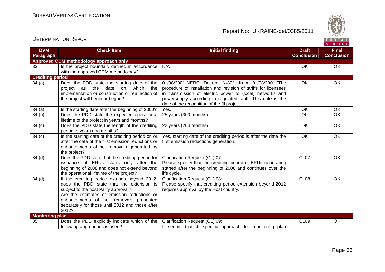

| <b>DVM</b><br>Paragraph | <b>Check Item</b>                                                                                                                                                                                                                                                                    | <b>Initial finding</b>                                                                                                                                                                                                                                                                         | <b>Draft</b><br><b>Conclusion</b> | <b>Final</b><br><b>Conclusion</b> |
|-------------------------|--------------------------------------------------------------------------------------------------------------------------------------------------------------------------------------------------------------------------------------------------------------------------------------|------------------------------------------------------------------------------------------------------------------------------------------------------------------------------------------------------------------------------------------------------------------------------------------------|-----------------------------------|-----------------------------------|
|                         | Approved CDM methodology approach only                                                                                                                                                                                                                                               |                                                                                                                                                                                                                                                                                                |                                   |                                   |
| 33                      | Is the project boundary defined in accordance<br>with the approved CDM methodology?                                                                                                                                                                                                  | N/A                                                                                                                                                                                                                                                                                            | OK                                | OK                                |
| <b>Crediting period</b> |                                                                                                                                                                                                                                                                                      |                                                                                                                                                                                                                                                                                                |                                   |                                   |
| 34(a)                   | Does the PDD state the starting date of the<br>which the<br>the<br>date<br>on<br>project as<br>implementation or construction or real action of<br>the project will begin or began?                                                                                                  | 01/08/2001-NERC Decree Nº801 from 01/08/2001. The<br>procedure of installation and revision of tariffs for licensees<br>in transmission of electric power to (local) networks and<br>powersupply according to regulated tariff. This date is the<br>date of the recognition of the JI project. | <b>OK</b>                         | OK                                |
| 34(a)                   | Is the starting date after the beginning of 2000?                                                                                                                                                                                                                                    | Yes.                                                                                                                                                                                                                                                                                           | OK                                | OK                                |
| 34(b)                   | Does the PDD state the expected operational<br>lifetime of the project in years and months?                                                                                                                                                                                          | 25 years (300 months)                                                                                                                                                                                                                                                                          | OK                                | OK                                |
| 34 <sub>(c)</sub>       | Does the PDD state the length of the crediting<br>period in years and months?                                                                                                                                                                                                        | 22 years (264 months)                                                                                                                                                                                                                                                                          | OK                                | OK                                |
| 34 <sub>(c)</sub>       | Is the starting date of the crediting period on or<br>after the date of the first emission reductions or<br>enhancements of net removals generated by<br>the project?                                                                                                                | Yes, starting date of the crediting period is after the date the<br>first emission reductions generation.                                                                                                                                                                                      | $\overline{OK}$                   | $\overline{OK}$                   |
| 34 <sub>(d)</sub>       | Does the PDD state that the crediting period for<br>issuance of ERUs starts only after the<br>beginning of 2008 and does not extend beyond<br>the operational lifetime of the project?                                                                                               | Clarification Request (CL) 07:<br>Please specify that the crediting period of ERUs generating<br>started after the beginning of 2008 and continues over the<br>life cycle.                                                                                                                     | CL <sub>07</sub>                  | <b>OK</b>                         |
| 34 <sub>(d)</sub>       | If the crediting period extends beyond 2012,<br>does the PDD state that the extension is<br>subject to the host Party approval?<br>Are the estimates of emission reductions or<br>enhancements of net removals presented<br>separately for those until 2012 and those after<br>2012? | Clarification Request (CL) 08:<br>Please specify that crediting period extension beyond 2012<br>requires approval by the Host country.                                                                                                                                                         | CL08                              | OK                                |
| <b>Monitoring plan</b>  |                                                                                                                                                                                                                                                                                      |                                                                                                                                                                                                                                                                                                |                                   |                                   |
| 35                      | Does the PDD explicitly indicate which of the<br>following approaches is used?                                                                                                                                                                                                       | Clarification Request (CL) 09:<br>It seems that JI specific approach for monitoring plan                                                                                                                                                                                                       | CL <sub>09</sub>                  | OK                                |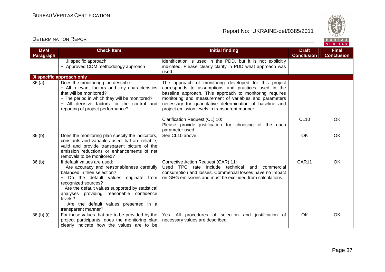

| <b>DVM</b><br>Paragraph | <b>Check Item</b>                                                                                                                                                                                                                                                                                                                                       | <b>Initial finding</b>                                                                                                                                                                                                                                                                                                                           | <b>Draft</b><br><b>Conclusion</b> | <b>Final</b><br><b>Conclusion</b> |
|-------------------------|---------------------------------------------------------------------------------------------------------------------------------------------------------------------------------------------------------------------------------------------------------------------------------------------------------------------------------------------------------|--------------------------------------------------------------------------------------------------------------------------------------------------------------------------------------------------------------------------------------------------------------------------------------------------------------------------------------------------|-----------------------------------|-----------------------------------|
|                         | - JI specific approach<br>- Approved CDM methodology approach                                                                                                                                                                                                                                                                                           | identification is used in the PDD, but it is not explicitly<br>indicated. Please clearly clarify in PDD what approach was<br>used.                                                                                                                                                                                                               |                                   |                                   |
|                         | JI specific approach only                                                                                                                                                                                                                                                                                                                               |                                                                                                                                                                                                                                                                                                                                                  |                                   |                                   |
| 36(a)                   | Does the monitoring plan describe:<br>- All relevant factors and key characteristics<br>that will be monitored?<br>- The period in which they will be monitored?<br>- All decisive factors for the control and<br>reporting of project performance?                                                                                                     | The approach of monitoring developed for this project<br>corresponds to assumptions and practices used in the<br>baseline approach. This approach to monitoring requires<br>monitoring and measurement of variables and parameters<br>necessary for quantitative determination of baseline and<br>project emission levels in transparent manner. |                                   |                                   |
|                         |                                                                                                                                                                                                                                                                                                                                                         | Clarification Request (CL) 10:<br>Please provide justification for choosing of the each<br>parameter used.                                                                                                                                                                                                                                       | <b>CL10</b>                       | <b>OK</b>                         |
| 36 <sub>(b)</sub>       | Does the monitoring plan specify the indicators,<br>constants and variables used that are reliable,<br>valid and provide transparent picture of the<br>emission reductions or enhancements of net<br>removals to be monitored?                                                                                                                          | See CL10 above.                                                                                                                                                                                                                                                                                                                                  | OK                                | OK                                |
| 36 <sub>(b)</sub>       | If default values are used:<br>- Are accuracy and reasonableness carefully<br>balanced in their selection?<br>Do the default values originate from<br>recognized sources?<br>- Are the default values supported by statistical<br>analyses providing reasonable confidence<br>levels?<br>- Are the default values presented in a<br>transparent manner? | Corrective Action Request (CAR) 11:<br>Used TPC rate include technical<br>and<br>commercial<br>consumption and losses. Commercial losses have no impact<br>on GHG emissions and must be excluded from calculations.                                                                                                                              | CAR11                             | OK                                |
| 36 (b) (i)              | For those values that are to be provided by the<br>project participants, does the monitoring plan<br>clearly indicate how the values are to be                                                                                                                                                                                                          | Yes. All procedures of selection and justification of<br>necessary values are described.                                                                                                                                                                                                                                                         | OK                                | OK                                |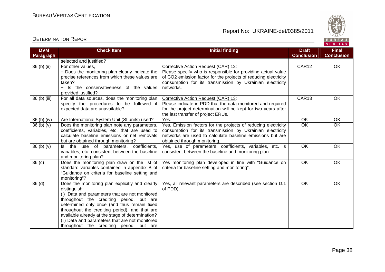

| <b>DVM</b><br>Paragraph | <b>Check Item</b>                                                                                                                                                                                                                                                                                                                                                                                                 | <b>Initial finding</b>                                                                                                                                                                                                                           | <b>Draft</b><br><b>Conclusion</b> | <b>Final</b><br><b>Conclusion</b> |
|-------------------------|-------------------------------------------------------------------------------------------------------------------------------------------------------------------------------------------------------------------------------------------------------------------------------------------------------------------------------------------------------------------------------------------------------------------|--------------------------------------------------------------------------------------------------------------------------------------------------------------------------------------------------------------------------------------------------|-----------------------------------|-----------------------------------|
|                         | selected and justified?                                                                                                                                                                                                                                                                                                                                                                                           |                                                                                                                                                                                                                                                  |                                   |                                   |
| 36 (b) (ii)             | For other values,<br>- Does the monitoring plan clearly indicate the<br>precise references from which these values are<br>taken?<br>- Is the conservativeness of the values<br>provided justified?                                                                                                                                                                                                                | Corrective Action Request (CAR) 12:<br>Please specify who is responsible for providing actual value<br>of CO2 emission factor for the projects of reducing electricity<br>consumption for its transmission by Ukrainian electricity<br>networks. | CAR12                             | $\overline{OK}$                   |
| 36 (b) (iii)            | For all data sources, does the monitoring plan<br>specify the procedures to be followed if<br>expected data are unavailable?                                                                                                                                                                                                                                                                                      | Corrective Action Request (CAR) 13:<br>Please indicate in PDD that the data monitored and required<br>for the project determination will be kept for two years after<br>the last transfer of project ERUs.                                       | CAR13                             | OK                                |
| 36 (b) (iv)             | Are International System Unit (SI units) used?                                                                                                                                                                                                                                                                                                                                                                    | Yes.                                                                                                                                                                                                                                             | OK                                | OK                                |
| 36(b)(v)                | Does the monitoring plan note any parameters,<br>coefficients, variables, etc. that are used to<br>calculate baseline emissions or net removals<br>but are obtained through monitoring?                                                                                                                                                                                                                           | Yes, Emission factors for the projects of reducing electricity<br>consumption for its transmission by Ukrainian electricity<br>networks are used to calculate baseline emissions but are<br>obtained through monitoring.                         | <b>OK</b>                         | OK                                |
| 36(b)(v)                | Is the use of parameters, coefficients,<br>variables, etc. consistent between the baseline<br>and monitoring plan?                                                                                                                                                                                                                                                                                                | Yes, use of parameters, coefficients, variables, etc. is<br>consistent between the baseline and monitoring plan.                                                                                                                                 | <b>OK</b>                         | OK                                |
| 36(c)                   | Does the monitoring plan draw on the list of<br>standard variables contained in appendix B of<br>"Guidance on criteria for baseline setting and<br>monitoring"?                                                                                                                                                                                                                                                   | Yes monitoring plan developed in line with "Guidance on<br>criteria for baseline setting and monitoring".                                                                                                                                        | <b>OK</b>                         | OK                                |
| 36 <sub>(d)</sub>       | Does the monitoring plan explicitly and clearly<br>distinguish:<br>(i) Data and parameters that are not monitored<br>throughout the crediting period, but are<br>determined only once (and thus remain fixed<br>throughout the crediting period), and that are<br>available already at the stage of determination?<br>(ii) Data and parameters that are not monitored<br>throughout the crediting period, but are | Yes, all relevant parameters are described (see section D.1<br>of PDD).                                                                                                                                                                          | OK                                | OK                                |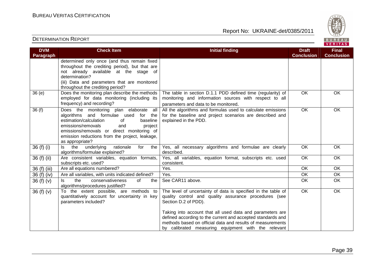

| <b>DVM</b><br><b>Paragraph</b> | <b>Check Item</b>                                                                                                                                                                                                                                                                              | <b>Initial finding</b>                                                                                                                                                                                                                                                                                                                                                                          | <b>Draft</b><br><b>Conclusion</b> | <b>Final</b><br><b>Conclusion</b> |
|--------------------------------|------------------------------------------------------------------------------------------------------------------------------------------------------------------------------------------------------------------------------------------------------------------------------------------------|-------------------------------------------------------------------------------------------------------------------------------------------------------------------------------------------------------------------------------------------------------------------------------------------------------------------------------------------------------------------------------------------------|-----------------------------------|-----------------------------------|
|                                | determined only once (and thus remain fixed<br>throughout the crediting period), but that are<br>not already available at the stage of<br>determination?<br>(iii) Data and parameters that are monitored<br>throughout the crediting period?                                                   |                                                                                                                                                                                                                                                                                                                                                                                                 |                                   |                                   |
| 36(e)                          | Does the monitoring plan describe the methods<br>employed for data monitoring (including its<br>frequency) and recording?                                                                                                                                                                      | The table in section D.1.1 PDD defined time (regularity) of<br>monitoring and information sources with respect to all<br>parameters and data to be monitored.                                                                                                                                                                                                                                   | <b>OK</b>                         | OK                                |
| 36(f)                          | Does the monitoring plan elaborate<br>all<br>algorithms and formulae used<br>for<br>the<br>estimation/calculation<br>baseline<br>of<br>emissions/removals<br>and<br>project<br>emissions/removals or direct monitoring of<br>emission reductions from the project, leakage,<br>as appropriate? | All the algorithms and formulas used to calculate emissions<br>for the baseline and project scenarios are described and<br>explained in the PDD.                                                                                                                                                                                                                                                | OK                                | OK                                |
| 36 $(f)$ $(i)$                 | underlying<br>rationale<br>Is the<br>for<br>the<br>algorithms/formulae explained?                                                                                                                                                                                                              | Yes, all necessary algorithms and formulae are clearly<br>described.                                                                                                                                                                                                                                                                                                                            | <b>OK</b>                         | <b>OK</b>                         |
| 36 (f) (ii)                    | Are consistent variables, equation formats,<br>subscripts etc. used?                                                                                                                                                                                                                           | Yes, all variables, equation format, subscripts etc. used<br>consistent.                                                                                                                                                                                                                                                                                                                        | OK                                | OK                                |
| 36 (f) (iii)                   | Are all equations numbered?                                                                                                                                                                                                                                                                    | Yes.                                                                                                                                                                                                                                                                                                                                                                                            | $\overline{OK}$                   | OK                                |
| 36 (f) (iv)                    | Are all variables, with units indicated defined?                                                                                                                                                                                                                                               | Yes.                                                                                                                                                                                                                                                                                                                                                                                            | OK                                | OK                                |
| 36 $(f)(v)$                    | the<br>conservativeness<br>of<br>ls.<br>the<br>algorithms/procedures justified?                                                                                                                                                                                                                | See CAR11 above.                                                                                                                                                                                                                                                                                                                                                                                | OK                                | OK                                |
| 36 $(f)(v)$                    | To the extent possible, are methods to<br>quantitatively account for uncertainty in key<br>parameters included?                                                                                                                                                                                | The level of uncertainty of data is specified in the table of<br>quality control and quality assurance procedures (see<br>Section D.2 of PDD).<br>Taking into account that all used data and parameters are<br>defined according to the current and accepted standards and<br>methods based on official data and results of measurements<br>by calibrated measuring equipment with the relevant | $\overline{OK}$                   | $\overline{OK}$                   |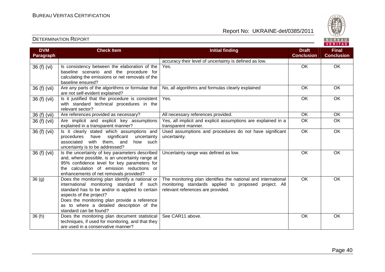

| <b>DVM</b>        | <b>Check Item</b>                                                                                                                                                                                                                                                                                 | <b>Initial finding</b>                                                                                                                                      | <b>Draft</b>      | <b>Final</b>      |
|-------------------|---------------------------------------------------------------------------------------------------------------------------------------------------------------------------------------------------------------------------------------------------------------------------------------------------|-------------------------------------------------------------------------------------------------------------------------------------------------------------|-------------------|-------------------|
| Paragraph         |                                                                                                                                                                                                                                                                                                   |                                                                                                                                                             | <b>Conclusion</b> | <b>Conclusion</b> |
|                   |                                                                                                                                                                                                                                                                                                   | accuracy their level of uncertainty is defined as low.                                                                                                      |                   |                   |
| 36(f)(vi)         | Is consistency between the elaboration of the<br>baseline scenario and the procedure for<br>calculating the emissions or net removals of the<br>baseline ensured?                                                                                                                                 | Yes.                                                                                                                                                        | OK                | OK                |
| 36 (f) (vii)      | Are any parts of the algorithms or formulae that<br>are not self-evident explained?                                                                                                                                                                                                               | No, all algorithms and formulas clearly explained                                                                                                           | OK                | <b>OK</b>         |
| 36 (f) (vii)      | Is it justified that the procedure is consistent<br>with standard technical procedures in the<br>relevant sector?                                                                                                                                                                                 | Yes.                                                                                                                                                        | OK                | OK                |
| 36 (f) (vii)      | Are references provided as necessary?                                                                                                                                                                                                                                                             | All necessary references provided.                                                                                                                          | OK                | <b>OK</b>         |
| 36 (f) (vii)      | Are implicit and explicit key assumptions<br>explained in a transparent manner?                                                                                                                                                                                                                   | Yes, all implicit and explicit assumptions are explained in a<br>transparent manner.                                                                        | $\overline{OK}$   | OK                |
| 36 (f) (vii)      | Is it clearly stated which assumptions and<br>significant<br>have<br>procedures<br>uncertainty<br>with them, and<br>associated<br>how such<br>uncertainty is to be addressed?                                                                                                                     | Used assumptions and procedures do not have significant<br>uncertainty.                                                                                     | $\overline{OK}$   | OK                |
| 36 (f) (vii)      | Is the uncertainty of key parameters described<br>and, where possible, is an uncertainty range at<br>95% confidence level for key parameters for<br>the calculation of emission reductions or<br>enhancements of net removals provided?                                                           | Uncertainty range was defined as low.                                                                                                                       | OK                | OK                |
| 36 <sub>(g)</sub> | Does the monitoring plan identify a national or<br>international monitoring standard if such<br>standard has to be and/or is applied to certain<br>aspects of the project?<br>Does the monitoring plan provide a reference<br>as to where a detailed description of the<br>standard can be found? | The monitoring plan identifies the national and international<br>monitoring standards applied to proposed project. All<br>relevant references are provided. | <b>OK</b>         | OK                |
| 36(h)             | Does the monitoring plan document statistical<br>techniques, if used for monitoring, and that they<br>are used in a conservative manner?                                                                                                                                                          | See CAR11 above.                                                                                                                                            | OK                | <b>OK</b>         |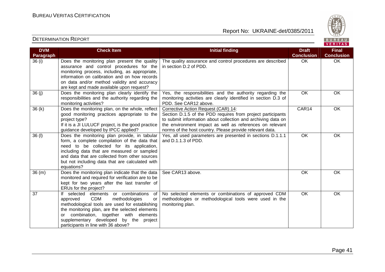

| <b>DVM</b><br>Paragraph | <b>Check Item</b>                                                                                                                                                                                                                                                                                                                    | <b>Initial finding</b>                                                                                                                                                                                                                                                                     | <b>Draft</b><br><b>Conclusion</b> | <b>Final</b><br><b>Conclusion</b> |
|-------------------------|--------------------------------------------------------------------------------------------------------------------------------------------------------------------------------------------------------------------------------------------------------------------------------------------------------------------------------------|--------------------------------------------------------------------------------------------------------------------------------------------------------------------------------------------------------------------------------------------------------------------------------------------|-----------------------------------|-----------------------------------|
| 36 (i)                  | Does the monitoring plan present the quality<br>assurance and control procedures for the<br>monitoring process, including, as appropriate,<br>information on calibration and on how records<br>on data and/or method validity and accuracy<br>are kept and made available upon request?                                              | The quality assurance and control procedures are described<br>in section D.2 of PDD.                                                                                                                                                                                                       | <b>OK</b>                         | OK                                |
| 36(j)                   | Does the monitoring plan clearly identify the<br>responsibilities and the authority regarding the<br>monitoring activities?                                                                                                                                                                                                          | Yes, the responsibilities and the authority regarding the<br>monitoring activities are clearly identified in section D.3 of<br>PDD. See CAR12 above.                                                                                                                                       | <b>OK</b>                         | OK                                |
| 36(k)                   | Does the monitoring plan, on the whole, reflect<br>good monitoring practices appropriate to the<br>project type?<br>If it is a JI LULUCF project, is the good practice<br>guidance developed by IPCC applied?                                                                                                                        | Corrective Action Request (CAR) 14:<br>Section D.1.5 of the PDD requires from project participants<br>to submit information about collection and archiving data on<br>the environment impact as well as references on relevant<br>norms of the host country. Please provide relevant data. | CAR14                             | OK                                |
| 36 (l)                  | Does the monitoring plan provide, in tabular<br>form, a complete compilation of the data that<br>need to be collected for its application,<br>including data that are measured or sampled<br>and data that are collected from other sources<br>but not including data that are calculated with<br>equations?                         | Yes, all used parameters are presented in sections D.1.1.1<br>and D.1.1.3 of PDD.                                                                                                                                                                                                          | <b>OK</b>                         | <b>OK</b>                         |
| 36(m)                   | Does the monitoring plan indicate that the data<br>monitored and required for verification are to be<br>kept for two years after the last transfer of<br>ERUs for the project?                                                                                                                                                       | See CAR13 above.                                                                                                                                                                                                                                                                           | OK                                | OK                                |
| 37                      | If selected elements or combinations<br>of<br>approved<br><b>CDM</b><br>methodologies<br><b>or</b><br>methodological tools are used for establishing<br>the monitoring plan, are the selected elements<br>or combination, together<br>with elements<br>supplementary developed by the project<br>participants in line with 36 above? | No selected elements or combinations of approved CDM<br>methodologies or methodological tools were used in the<br>monitoring plan.                                                                                                                                                         | OK                                | OK                                |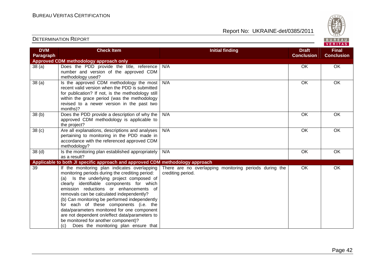Report No: UKRAINE-det/0385/2011



#### **VERITAS Check Item Initial finding Check Item Initial finding Check Item Initial finding Check Item Initial finding Check DVM Final Paragraph Conclusion Conclusion Approved CDM methodology approach only**  38 (a) Does the PDD provide the title, reference N/A OK OK OK number and version of the approved CDM methodology used? 38 (a)  $\vert$  Is the approved CDM methodology the most N/A OK OK OK recent valid version when the PDD is submitted for publication? If not, is the methodology still within the grace period (was the methodology revised to a newer version in the past two months)? 38 (b) Does the PDD provide a description of why the N/A OK OK OK approved CDM methodology is applicable to the project? 38 (c) Are all explanations, descriptions and analyses N/A OK OK OK pertaining to monitoring in the PDD made in accordance with the referenced approved CDM methodology?  $38$  (d)  $\vert$  Is the monitoring plan established appropriately N/A OK OK OK as a result? **Applicable to both JI specific approach and approved CDM methodology approach** 39 If the monitoring plan indicates overlapping There are no overlapping monitoring periods during the OK OK monitoring periods during the crediting period: crediting period. (a) Is the underlying project composed of clearly identifiable components for which emission reductions or enhancements of removals can be calculated independently? (b) Can monitoring be performed independently for each of these components (i.e. the data/parameters monitored for one component are not dependent on/effect data/parameters to be monitored for another component)? (c) Does the monitoring plan ensure that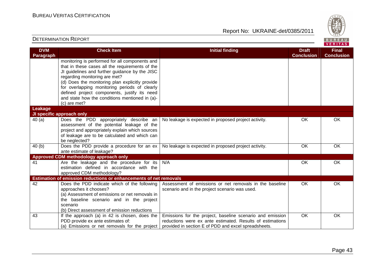Report No: UKRAINE-det/0385/2011



#### **VERITAS Check Item Initial finding Check Item Initial finding Check Item Initial finding Check Item Initial finding Check DVM Final Paragraph Conclusion Conclusion** monitoring is performed for all components and that in these cases all the requirements of the JI guidelines and further guidance by the JISC regarding monitoring are met? (d) Does the monitoring plan explicitly provide for overlapping monitoring periods of clearly defined project components, justify its need and state how the conditions mentioned in (a)-(c) are met? **Leakage JI specific approach only**  40 (a) Does the PDD appropriately describe an No leakage is expected in proposed project activity. The OK COK CONSERVIATION OR assessment of the potential leakage of the project and appropriately explain which sources of leakage are to be calculated and which can be neglected? 40 (b) Does the PDD provide a procedure for an ex No leakage is expected in proposed project activity. 600 OK OK OK ante estimate of leakage? **Approved CDM methodology approach only**  41 Are the leakage and the procedure for its N/A OK OK OK estimation defined in accordance with the approved CDM methodology? **Estimation of emission reductions or enhancements of net removals** 42 Does the PDD indicate which of the following Assessment of emissions or net removals in the baseline OK OK approaches it chooses? scenario and in the project scenario was used. (a) Assessment of emissions or net removals in the baseline scenario and in the project scenario (b) Direct assessment of emission reductions 43 **If the approach (a) in 42 is chosen, does the** Emissions for the project, baseline scenario and emission OK OK PDD provide ex ante estimates of: reductions were ex ante estimated. Results of estimations (a) Emissions or net removals for the project provided in section E of PDD and excel spreadsheets.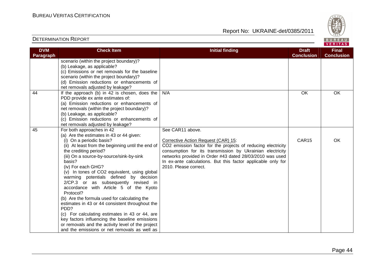

| <b>DVM</b><br>Paragraph | <b>Check Item</b>                                                                                                                                                                                                                                                                                                                                                                                                                                                                                                                                                                                                                                                                                                                                                        | <b>Initial finding</b>                                                                                                                                                                                                                                                                                                                    | <b>Draft</b><br><b>Conclusion</b> | <b>Final</b><br><b>Conclusion</b> |
|-------------------------|--------------------------------------------------------------------------------------------------------------------------------------------------------------------------------------------------------------------------------------------------------------------------------------------------------------------------------------------------------------------------------------------------------------------------------------------------------------------------------------------------------------------------------------------------------------------------------------------------------------------------------------------------------------------------------------------------------------------------------------------------------------------------|-------------------------------------------------------------------------------------------------------------------------------------------------------------------------------------------------------------------------------------------------------------------------------------------------------------------------------------------|-----------------------------------|-----------------------------------|
|                         | scenario (within the project boundary)?<br>(b) Leakage, as applicable?<br>(c) Emissions or net removals for the baseline<br>scenario (within the project boundary)?<br>(d) Emission reductions or enhancements of<br>net removals adjusted by leakage?                                                                                                                                                                                                                                                                                                                                                                                                                                                                                                                   |                                                                                                                                                                                                                                                                                                                                           |                                   |                                   |
| 44                      | If the approach (b) in 42 is chosen, does the<br>PDD provide ex ante estimates of:<br>(a) Emission reductions or enhancements of<br>net removals (within the project boundary)?<br>(b) Leakage, as applicable?<br>(c) Emission reductions or enhancements of<br>net removals adjusted by leakage?                                                                                                                                                                                                                                                                                                                                                                                                                                                                        | N/A                                                                                                                                                                                                                                                                                                                                       | $\overline{OK}$                   | OK                                |
| 45                      | For both approaches in 42<br>(a) Are the estimates in 43 or 44 given:<br>(i) On a periodic basis?<br>(ii) At least from the beginning until the end of<br>the crediting period?<br>(iii) On a source-by-source/sink-by-sink<br>basis?<br>(iv) For each GHG?<br>(v) In tones of CO2 equivalent, using global<br>warming potentials defined by decision<br>2/CP.3 or as subsequently revised in<br>accordance with Article 5 of the Kyoto<br>Protocol?<br>(b) Are the formula used for calculating the<br>estimates in 43 or 44 consistent throughout the<br>PDD?<br>(c) For calculating estimates in 43 or 44, are<br>key factors influencing the baseline emissions<br>or removals and the activity level of the project<br>and the emissions or net removals as well as | See CAR11 above.<br>Corrective Action Request (CAR) 15:<br>CO2 emission factor for the projects of reducing electricity<br>consumption for its transmission by Ukrainian electricity<br>networks provided in Order #43 dated 28/03/2010 was used<br>In ex-ante calculations. But this factor applicable only for<br>2010. Please correct. | CAR15                             | OK                                |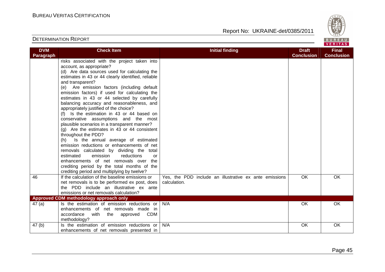

|                         |                                                                                                                                                                                                                                                                                                                                                                                                                                                                                                                                                                                                                                                                                                                                                                                                                                              |                                                                        |                                   | .                                 |
|-------------------------|----------------------------------------------------------------------------------------------------------------------------------------------------------------------------------------------------------------------------------------------------------------------------------------------------------------------------------------------------------------------------------------------------------------------------------------------------------------------------------------------------------------------------------------------------------------------------------------------------------------------------------------------------------------------------------------------------------------------------------------------------------------------------------------------------------------------------------------------|------------------------------------------------------------------------|-----------------------------------|-----------------------------------|
| <b>DVM</b><br>Paragraph | <b>Check Item</b>                                                                                                                                                                                                                                                                                                                                                                                                                                                                                                                                                                                                                                                                                                                                                                                                                            | <b>Initial finding</b>                                                 | <b>Draft</b><br><b>Conclusion</b> | <b>Final</b><br><b>Conclusion</b> |
|                         | risks associated with the project taken into<br>account, as appropriate?<br>(d) Are data sources used for calculating the<br>estimates in 43 or 44 clearly identified, reliable<br>and transparent?<br>(e) Are emission factors (including default<br>emission factors) if used for calculating the<br>estimates in 43 or 44 selected by carefully<br>balancing accuracy and reasonableness, and<br>appropriately justified of the choice?<br>(f) Is the estimation in 43 or 44 based on<br>conservative assumptions and the most<br>plausible scenarios in a transparent manner?<br>$(g)$ Are the estimates in 43 or 44 consistent<br>throughout the PDD?<br>(h) Is the annual average of estimated<br>emission reductions or enhancements of net<br>removals calculated by dividing the total<br>estimated<br>emission<br>reductions<br>or |                                                                        |                                   |                                   |
|                         | enhancements of net removals over the<br>crediting period by the total months of the<br>crediting period and multiplying by twelve?                                                                                                                                                                                                                                                                                                                                                                                                                                                                                                                                                                                                                                                                                                          |                                                                        |                                   |                                   |
| 46                      | If the calculation of the baseline emissions or<br>net removals is to be performed ex post, does<br>the PDD include an illustrative ex ante<br>emissions or net removals calculation?                                                                                                                                                                                                                                                                                                                                                                                                                                                                                                                                                                                                                                                        | Yes, the PDD include an illustrative ex ante emissions<br>calculation. | OK                                | OK                                |
|                         | Approved CDM methodology approach only                                                                                                                                                                                                                                                                                                                                                                                                                                                                                                                                                                                                                                                                                                                                                                                                       |                                                                        |                                   |                                   |
| 47(a)                   | Is the estimation of emission reductions or<br>enhancements of net removals made in<br>accordance with<br>the approved<br>CDM<br>methodology?                                                                                                                                                                                                                                                                                                                                                                                                                                                                                                                                                                                                                                                                                                | N/A                                                                    | OK                                | OK                                |
| 47 <sub>(b)</sub>       | Is the estimation of emission reductions or<br>enhancements of net removals presented in                                                                                                                                                                                                                                                                                                                                                                                                                                                                                                                                                                                                                                                                                                                                                     | N/A                                                                    | OK                                | OK                                |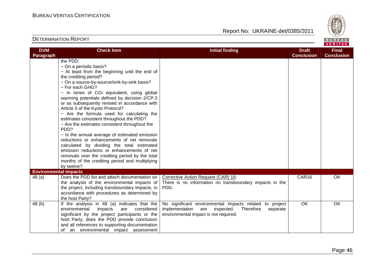

| <b>DVM</b>                                | <b>Check Item</b>                                                                                                                                                                                                                                                                                                                                                                                                                                                                                                                                                                                                                                                                                                                                                                                                                        | <b>Initial finding</b>                                                                                                                                          | <b>Draft</b><br><b>Conclusion</b> | <b>Final</b>      |
|-------------------------------------------|------------------------------------------------------------------------------------------------------------------------------------------------------------------------------------------------------------------------------------------------------------------------------------------------------------------------------------------------------------------------------------------------------------------------------------------------------------------------------------------------------------------------------------------------------------------------------------------------------------------------------------------------------------------------------------------------------------------------------------------------------------------------------------------------------------------------------------------|-----------------------------------------------------------------------------------------------------------------------------------------------------------------|-----------------------------------|-------------------|
| Paragraph<br><b>Environmental impacts</b> | the PDD:<br>- On a periodic basis?<br>- At least from the beginning until the end of<br>the crediting period?<br>- On a source-by-source/sink-by-sink basis?<br>- For each GHG?<br>$-$ In tones of $CO2$ equivalent, using global<br>warming potentials defined by decision 2/CP.3<br>or as subsequently revised in accordance with<br>Article 5 of the Kyoto Protocol?<br>- Are the formula used for calculating the<br>estimates consistent throughout the PDD?<br>- Are the estimates consistent throughout the<br>PDD?<br>- Is the annual average of estimated emission<br>reductions or enhancements of net removals<br>calculated by dividing the total estimated<br>emission reductions or enhancements of net<br>removals over the crediting period by the total<br>months of the crediting period and multiplying<br>by twelve? |                                                                                                                                                                 |                                   | <b>Conclusion</b> |
| 48(a)                                     | Does the PDD list and attach documentation on<br>the analysis of the environmental impacts of<br>the project, including transboundary impacts, in<br>accordance with procedures as determined by<br>the host Party?                                                                                                                                                                                                                                                                                                                                                                                                                                                                                                                                                                                                                      | Corrective Action Request (CAR) 16:<br>There is no information on transboundary impacts in the<br>PDD.                                                          | CAR16                             | OK                |
| 48 (b)                                    | If the analysis in 48 (a) indicates that the<br>environmental<br>impacts<br>considered<br>are<br>significant by the project participants or the<br>host Party, does the PDD provide conclusion<br>and all references to supporting documentation<br>an environmental impact assessment<br>οf                                                                                                                                                                                                                                                                                                                                                                                                                                                                                                                                             | No significant environmental impacts related to project<br>implementation<br>are<br>expected.<br>Therefore<br>separate<br>environmental impact is not required. | OK                                | OK                |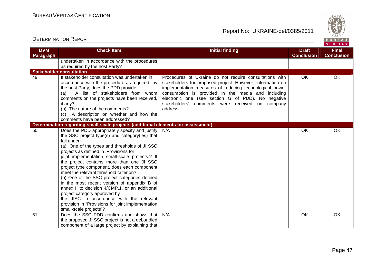

| <b>DVM</b> | <b>Check Item</b>                                                                                                                                                                                                                                                                                                                                                                                                                                                                                                                                                                                                                                                                                               | <b>Initial finding</b>                                                                                                                                                                                                                                                                                                                                      | <b>Draft</b>      | <b>Final</b>      |
|------------|-----------------------------------------------------------------------------------------------------------------------------------------------------------------------------------------------------------------------------------------------------------------------------------------------------------------------------------------------------------------------------------------------------------------------------------------------------------------------------------------------------------------------------------------------------------------------------------------------------------------------------------------------------------------------------------------------------------------|-------------------------------------------------------------------------------------------------------------------------------------------------------------------------------------------------------------------------------------------------------------------------------------------------------------------------------------------------------------|-------------------|-------------------|
| Paragraph  |                                                                                                                                                                                                                                                                                                                                                                                                                                                                                                                                                                                                                                                                                                                 |                                                                                                                                                                                                                                                                                                                                                             | <b>Conclusion</b> | <b>Conclusion</b> |
|            | undertaken in accordance with the procedures                                                                                                                                                                                                                                                                                                                                                                                                                                                                                                                                                                                                                                                                    |                                                                                                                                                                                                                                                                                                                                                             |                   |                   |
|            | as required by the host Party?                                                                                                                                                                                                                                                                                                                                                                                                                                                                                                                                                                                                                                                                                  |                                                                                                                                                                                                                                                                                                                                                             |                   |                   |
|            | <b>Stakeholder consultation</b>                                                                                                                                                                                                                                                                                                                                                                                                                                                                                                                                                                                                                                                                                 |                                                                                                                                                                                                                                                                                                                                                             |                   |                   |
| 49         | If stakeholder consultation was undertaken in<br>accordance with the procedure as required by<br>the host Party, does the PDD provide:<br>A list of stakeholders from whom<br>(a)<br>comments on the projects have been received,<br>if any?<br>(b) The nature of the comments?<br>(c) A description on whether and how the<br>comments have been addressed?                                                                                                                                                                                                                                                                                                                                                    | Procedures of Ukraine do not require consultations with<br>stakeholders for proposed project. However, information on<br>implementation measures of reducing technological power<br>consumption is provided in the media and including<br>electronic one (see section G of PDD). No negative<br>stakeholders' comments were received on company<br>address. | <b>OK</b>         | OK                |
|            | Determination regarding small-scale projects (additional elements for assessment)                                                                                                                                                                                                                                                                                                                                                                                                                                                                                                                                                                                                                               |                                                                                                                                                                                                                                                                                                                                                             |                   |                   |
| 50         | Does the PDD appropriately specify and justify<br>the SSC project type(s) and category(ies) that<br>fall under:<br>(a) One of the types and thresholds of JI SSC<br>projects as defined in .Provisions for<br>joint implementation small-scale projects.? If<br>the project contains more than one JI SSC<br>project type component, does each component<br>meet the relevant threshold criterion?<br>(b) One of the SSC project categories defined<br>in the most recent version of appendix B of<br>annex II to decision 4/CMP.1, or an additional<br>project category approved by<br>the JISC in accordance with the relevant<br>provision in "Provisions for joint implementation<br>small-scale projects"? | N/A                                                                                                                                                                                                                                                                                                                                                         | OK                | OK.               |
| 51         | Does the SSC PDD confirms and shows that<br>the proposed JI SSC project is not a debundled<br>component of a large project by explaining that                                                                                                                                                                                                                                                                                                                                                                                                                                                                                                                                                                   | N/A                                                                                                                                                                                                                                                                                                                                                         | <b>OK</b>         | <b>OK</b>         |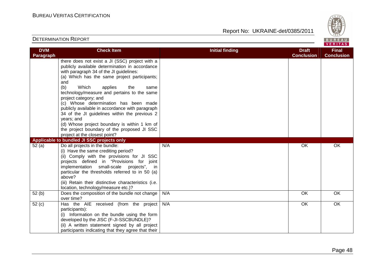Report No: UKRAINE-det/0385/2011



#### VERITAS **Check Item Initial finding Check Item Initial finding Check Item Initial finding Check Item Initial finding Check DVM Final Paragraph Conclusion Conclusion** there does not exist a JI (SSC) project with a publicly available determination in accordance with paragraph 34 of the JI guidelines: (a) Which has the same project participants; and (b) Which applies the same technology/measure and pertains to the same project category; and (c) Whose determination has been made publicly available in accordance with paragraph 34 of the JI guidelines within the previous 2 years; and (d) Whose project boundary is within 1 km of the project boundary of the proposed JI SSC project at the closest point? **Applicable to bundled JI SSC projects only** 52 (a) Do all projects in the bundle: N/A OK OK OK (i) Have the same crediting period? (ii) Comply with the provisions for JI SSC projects defined in "Provisions for joint implementation small-scale projects", in particular the thresholds referred to in 50 (a) above? (iii) Retain their distinctive characteristics (i.e. location, technology/measure etc.)? 52 (b) Does the composition of the bundle not change N/A OK OK OK over time? 52 (c) Has the AIE received (from the project N/A OK OK OK participants): (i) Information on the bundle using the form developed by the JISC (F-JI-SSCBUNDLE)? (ii) A written statement signed by all project participants indicating that they agree that their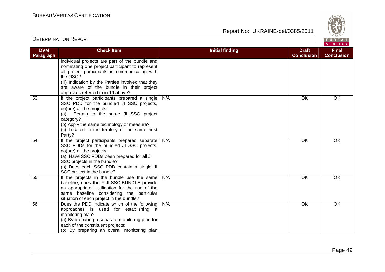

| <b>DVM</b> | <b>Check Item</b>                                                                                                                                                                                                                                                                                        | <b>Initial finding</b> | <b>Draft</b>      | <b>Final</b>      |
|------------|----------------------------------------------------------------------------------------------------------------------------------------------------------------------------------------------------------------------------------------------------------------------------------------------------------|------------------------|-------------------|-------------------|
| Paragraph  |                                                                                                                                                                                                                                                                                                          |                        | <b>Conclusion</b> | <b>Conclusion</b> |
|            | individual projects are part of the bundle and<br>nominating one project participant to represent<br>all project participants in communicating with<br>the JISC?<br>(iii) Indication by the Parties involved that they<br>are aware of the bundle in their project<br>approvals referred to in 19 above? |                        |                   |                   |
| 53         | If the project participants prepared a single<br>SSC PDD for the bundled JI SSC projects,<br>do(are) all the projects:<br>Pertain to the same JI SSC project<br>(a)<br>category?<br>(b) Apply the same technology or measure?<br>(c) Located in the territory of the same host<br>Party?                 | N/A                    | OK                | OK                |
| 54         | If the project participants prepared separate<br>SSC PDDs for the bundled JI SSC projects,<br>do(are) all the projects:<br>(a) Have SSC PDDs been prepared for all JI<br>SSC projects in the bundle?<br>(b) Does each SSC PDD contain a single JI<br>SCC project in the bundle?                          | N/A                    | OK                | OK                |
| 55         | If the projects in the bundle use the same<br>baseline, does the F-JI-SSC-BUNDLE provide<br>an appropriate justification for the use of the<br>same baseline considering the particular<br>situation of each project in the bundle?                                                                      | N/A                    | OK                | OK                |
| 56         | Does the PDD indicate which of the following<br>approaches is used for establishing a<br>monitoring plan?<br>(a) By preparing a separate monitoring plan for<br>each of the constituent projects;<br>(b) By preparing an overall monitoring plan                                                         | N/A                    | OK                | OK                |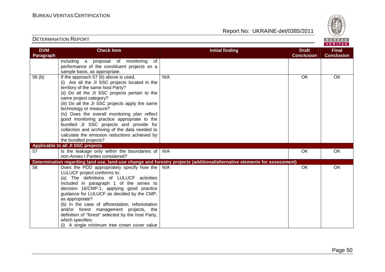

| <b>DVM</b>        | <b>Check Item</b>                                  | <b>Initial finding</b>                                                                                                   | <b>Draft</b>      | <b>Final</b>      |
|-------------------|----------------------------------------------------|--------------------------------------------------------------------------------------------------------------------------|-------------------|-------------------|
| Paragraph         |                                                    |                                                                                                                          | <b>Conclusion</b> | <b>Conclusion</b> |
|                   | including a proposal of monitoring of              |                                                                                                                          |                   |                   |
|                   | performance of the constituent projects on a       |                                                                                                                          |                   |                   |
|                   | sample basis, as appropriate.                      |                                                                                                                          |                   |                   |
| 56 <sub>(b)</sub> | If the approach 57 (b) above is used,              | N/A                                                                                                                      | OK                | OK                |
|                   | (i) Are all the JI SSC projects located in the     |                                                                                                                          |                   |                   |
|                   | territory of the same host Party?                  |                                                                                                                          |                   |                   |
|                   | (ii) Do all the JI SSC projects pertain to the     |                                                                                                                          |                   |                   |
|                   | same project category?                             |                                                                                                                          |                   |                   |
|                   | (iii) Do all the JI SSC projects apply the same    |                                                                                                                          |                   |                   |
|                   | technology or measure?                             |                                                                                                                          |                   |                   |
|                   | (iv) Does the overall monitoring plan reflect      |                                                                                                                          |                   |                   |
|                   | good monitoring practice appropriate to the        |                                                                                                                          |                   |                   |
|                   | bundled JI SSC projects and provide for            |                                                                                                                          |                   |                   |
|                   | collection and archiving of the data needed to     |                                                                                                                          |                   |                   |
|                   | calculate the emission reductions achieved by      |                                                                                                                          |                   |                   |
|                   | the bundled projects?                              |                                                                                                                          |                   |                   |
|                   | Applicable to all JI SSC projects                  |                                                                                                                          |                   |                   |
| 57                | Is the leakage only within the boundaries of       | N/A                                                                                                                      | OK                | OK                |
|                   | non-Annex   Parties considered?                    |                                                                                                                          |                   |                   |
|                   |                                                    | Determination regarding land use, land-use change and forestry projects (additional/alternative elements for assessment) |                   |                   |
| 58                | Does the PDD appropriately specify how the         | N/A                                                                                                                      | <b>OK</b>         | OK                |
|                   | LULUCF project conforms to:                        |                                                                                                                          |                   |                   |
|                   | (a) The definitions of LULUCF activities           |                                                                                                                          |                   |                   |
|                   | included in paragraph 1 of the annex to            |                                                                                                                          |                   |                   |
|                   | decision 16/CMP.1, applying good practice          |                                                                                                                          |                   |                   |
|                   | guidance for LULUCF as decided by the CMP,         |                                                                                                                          |                   |                   |
|                   | as appropriate?                                    |                                                                                                                          |                   |                   |
|                   | (b) In the case of afforestation, reforestation    |                                                                                                                          |                   |                   |
|                   | and/or forest management projects, the             |                                                                                                                          |                   |                   |
|                   | definition of "forest" selected by the host Party, |                                                                                                                          |                   |                   |
|                   | which specifies:                                   |                                                                                                                          |                   |                   |
|                   | (i) A single minimum tree crown cover value        |                                                                                                                          |                   |                   |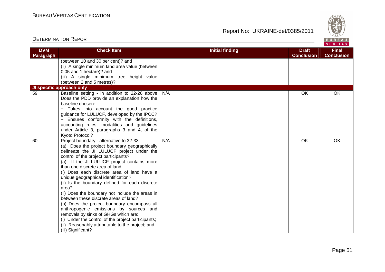

| <b>DVM</b> | <b>Check Item</b>                                                             | <b>Initial finding</b> | <b>Draft</b><br><b>Conclusion</b> | <b>Final</b><br><b>Conclusion</b> |
|------------|-------------------------------------------------------------------------------|------------------------|-----------------------------------|-----------------------------------|
| Paragraph  | (between 10 and 30 per cent)? and                                             |                        |                                   |                                   |
|            | (ii) A single minimum land area value (between                                |                        |                                   |                                   |
|            | 0.05 and 1 hectare)? and                                                      |                        |                                   |                                   |
|            | (iii) A single minimum tree height value                                      |                        |                                   |                                   |
|            | (between 2 and 5 metres)?                                                     |                        |                                   |                                   |
|            | JI specific approach only                                                     |                        |                                   |                                   |
| 59         | Baseline setting - in addition to 22-26 above                                 | N/A                    | OK                                | OK                                |
|            | Does the PDD provide an explanation how the                                   |                        |                                   |                                   |
|            | baseline chosen:                                                              |                        |                                   |                                   |
|            | Takes into account the good practice                                          |                        |                                   |                                   |
|            | guidance for LULUCF, developed by the IPCC?                                   |                        |                                   |                                   |
|            | - Ensures conformity with the definitions,                                    |                        |                                   |                                   |
|            | accounting rules, modalities and guidelines                                   |                        |                                   |                                   |
|            | under Article 3, paragraphs 3 and 4, of the                                   |                        |                                   |                                   |
|            | Kyoto Protocol?                                                               |                        |                                   |                                   |
| 60         | Project boundary - alternative to 32-33                                       | N/A                    | <b>OK</b>                         | <b>OK</b>                         |
|            | (a) Does the project boundary geographically                                  |                        |                                   |                                   |
|            | delineate the JI LULUCF project under the                                     |                        |                                   |                                   |
|            | control of the project participants?                                          |                        |                                   |                                   |
|            | (a) If the JI LULUCF project contains more                                    |                        |                                   |                                   |
|            | than one discrete area of land,<br>(i) Does each discrete area of land have a |                        |                                   |                                   |
|            | unique geographical identification?                                           |                        |                                   |                                   |
|            | (ii) Is the boundary defined for each discrete                                |                        |                                   |                                   |
|            | area?                                                                         |                        |                                   |                                   |
|            | (ii) Does the boundary not include the areas in                               |                        |                                   |                                   |
|            | between these discrete areas of land?                                         |                        |                                   |                                   |
|            | (b) Does the project boundary encompass all                                   |                        |                                   |                                   |
|            | anthropogenic emissions by sources and                                        |                        |                                   |                                   |
|            | removals by sinks of GHGs which are:                                          |                        |                                   |                                   |
|            | (i) Under the control of the project participants;                            |                        |                                   |                                   |
|            | (ii) Reasonably attributable to the project; and                              |                        |                                   |                                   |
|            | (iii) Significant?                                                            |                        |                                   |                                   |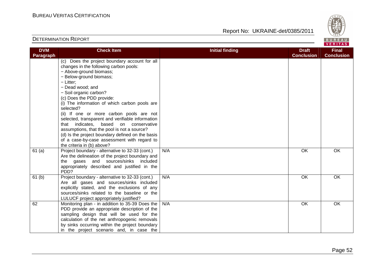Report No: UKRAINE-det/0385/2011



#### VERITAS **Check Item Initial finding Check Item Initial finding Check Item Initial finding Check Item Initial finding DVM Final Paragraph Conclusion Conclusion** (c) Does the project boundary account for all changes in the following carbon pools: − Above-ground biomass; − Below-ground biomass; − Litter; − Dead wood; and − Soil organic carbon? (c) Does the PDD provide: (i) The information of which carbon pools are selected? (ii) If one or more carbon pools are not selected, transparent and verifiable information that indicates, based on conservative assumptions, that the pool is not a source? (d) Is the project boundary defined on the basis of a case-by-case assessment with regard to the criteria in (b) above? 61 (a) Project boundary - alternative to 32-33 (cont.) N/A OK OK OK Are the delineation of the project boundary and the gases and sources/sinks included appropriately described and justified in the PD<sub>D?</sub>  $61$  (b) Project boundary - alternative to 32-33 (cont.) N/A OK OK OK Are all gases and sources/sinks included explicitly stated, and the exclusions of any sources/sinks related to the baseline or the LULUCF project appropriately justified? 62 Monitoring plan - in addition to 35-39 Does the N/A OK OK OK PDD provide an appropriate description of the sampling design that will be used for the calculation of the net anthropogenic removals by sinks occurring within the project boundary in the project scenario and, in case the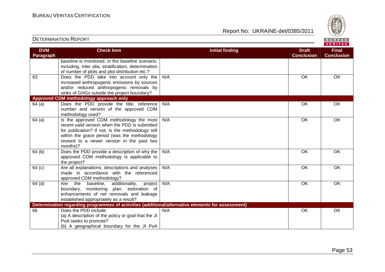(b) A geographical boundary for the JI PoA

DETERMINATION REPORT

Report No: UKRAINE-det/0385/2011



#### VERITAS **Check Item Initial finding Check Item Initial finding Check Item Initial finding Check Item Initial finding DVM Final Paragraph Conclusion Conclusion** baseline is monitored, in the baseline scenario, including, inter alia, stratification, determination of number of plots and plot distribution etc.? 63 Does the PDD take into account only the N/A OK OK OK increased anthropogenic emissions by sources and/or reduced anthropogenic removals by sinks of GHGs outside the project boundary? **Approved CDM methodology approach only**  64 (a) Does the PDD provide the title, reference N/A OK OK OK number and version of the approved CDM methodology used?  $64$  (a) | Is the approved CDM methodology the most N/A OK OK OK recent valid version when the PDD is submitted for publication? If not, is the methodology still within the grace period (was the methodology revised to a newer version in the past two months)? 64 (b) Does the PDD provide a description of why the N/A OK OK OK approved CDM methodology is applicable to the project? 64 (c) Are all explanations, descriptions and analyses N/A OK OK OK made in accordance with the referenced approved CDM methodology? 64 (d) Are the baseline, additionality, project N/A OK OK OK boundary, monitoring plan, estimation of enhancements of net removals and leakage established appropriately as a result? **Determination regarding programmes of activities (additional/alternative elements for assessment)** 66 Does the PDD include: N/A OK OK OK (a) A description of the policy or goal that the JIPoA seeks to promote?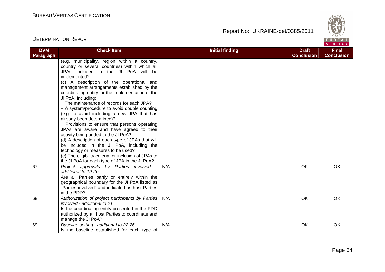

| <b>DVM</b>       | <b>Check Item</b>                                     | <b>Initial finding</b> | <b>Draft</b>      | <b>Final</b>      |
|------------------|-------------------------------------------------------|------------------------|-------------------|-------------------|
| <b>Paragraph</b> |                                                       |                        | <b>Conclusion</b> | <b>Conclusion</b> |
|                  | (e.g. municipality, region within a country,          |                        |                   |                   |
|                  | country or several countries) within which all        |                        |                   |                   |
|                  | JPAs included in the JI PoA will be                   |                        |                   |                   |
|                  | implemented?                                          |                        |                   |                   |
|                  | (c) A description of the operational and              |                        |                   |                   |
|                  | management arrangements established by the            |                        |                   |                   |
|                  | coordinating entity for the implementation of the     |                        |                   |                   |
|                  | JI PoA, including:                                    |                        |                   |                   |
|                  | - The maintenance of records for each JPA?            |                        |                   |                   |
|                  | - A system/procedure to avoid double counting         |                        |                   |                   |
|                  | (e.g. to avoid including a new JPA that has           |                        |                   |                   |
|                  | already been determined)?                             |                        |                   |                   |
|                  | - Provisions to ensure that persons operating         |                        |                   |                   |
|                  | JPAs are aware and have agreed to their               |                        |                   |                   |
|                  | activity being added to the JI PoA?                   |                        |                   |                   |
|                  | (d) A description of each type of JPAs that will      |                        |                   |                   |
|                  | be included in the JI PoA, including the              |                        |                   |                   |
|                  | technology or measures to be used?                    |                        |                   |                   |
|                  | (e) The eligibility criteria for inclusion of JPAs to |                        |                   |                   |
|                  | the JI PoA for each type of JPA in the JI PoA?        |                        |                   |                   |
| 67               | Project approvals by Parties involved                 | N/A                    | OK                | OK                |
|                  | additional to 19-20                                   |                        |                   |                   |
|                  | Are all Parties partly or entirely within the         |                        |                   |                   |
|                  | geographical boundary for the JI PoA listed as        |                        |                   |                   |
|                  | "Parties involved" and indicated as host Parties      |                        |                   |                   |
|                  | in the PDD?                                           |                        |                   |                   |
| 68               | Authorization of project participants by Parties      | N/A                    | <b>OK</b>         | <b>OK</b>         |
|                  | involved - additional to 21                           |                        |                   |                   |
|                  | Is the coordinating entity presented in the PDD       |                        |                   |                   |
|                  | authorized by all host Parties to coordinate and      |                        |                   |                   |
|                  | manage the JI PoA?                                    |                        |                   |                   |
| 69               | Baseline setting - additional to 22-26                | N/A                    | OK                | OK                |
|                  | Is the baseline established for each type of          |                        |                   |                   |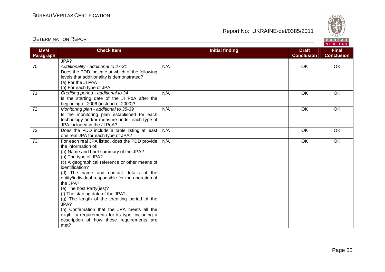

|            | <b>INEQUILING.</b> UNIVAIINE-GEDUCOUZU II       | $\frac{16}{1828}$         |
|------------|-------------------------------------------------|---------------------------|
|            |                                                 | BUREA<br>VERITA           |
| Check Item | Initial finding<br><b>Draft</b><br>Conclusion L | <b>Final</b><br>Conclusio |

| <b>DVM</b>      | <b>Check Item</b>                                                                                                                                                                                                                                                                                                                                                                                                                                                                                                                                                                                             | <b>Initial finding</b> | <b>Draft</b>      | <b>Final</b>      |
|-----------------|---------------------------------------------------------------------------------------------------------------------------------------------------------------------------------------------------------------------------------------------------------------------------------------------------------------------------------------------------------------------------------------------------------------------------------------------------------------------------------------------------------------------------------------------------------------------------------------------------------------|------------------------|-------------------|-------------------|
| Paragraph       |                                                                                                                                                                                                                                                                                                                                                                                                                                                                                                                                                                                                               |                        | <b>Conclusion</b> | <b>Conclusion</b> |
|                 | JPA?                                                                                                                                                                                                                                                                                                                                                                                                                                                                                                                                                                                                          |                        |                   |                   |
| 70              | Additionality - additional to 27-31<br>Does the PDD indicate at which of the following<br>levels that additionality is demonstrated?<br>(a) For the JI PoA<br>(b) For each type of JPA                                                                                                                                                                                                                                                                                                                                                                                                                        | N/A                    | OK                | OK                |
| 71              | Crediting period - additional to 34<br>Is the starting date of the JI PoA after the<br>beginning of 2006 (instead of 2000)?                                                                                                                                                                                                                                                                                                                                                                                                                                                                                   | N/A                    | OK                | OK                |
| 72              | Monitoring plan - additional to 35-39<br>Is the monitoring plan established for each<br>technology and/or measure under each type of<br>JPA included in the JI PoA?                                                                                                                                                                                                                                                                                                                                                                                                                                           | N/A                    | OK                | OK                |
| $\overline{73}$ | Does the PDD include a table listing at least<br>one real JPA for each type of JPA?                                                                                                                                                                                                                                                                                                                                                                                                                                                                                                                           | N/A                    | OK                | OK                |
| 73              | For each real JPA listed, does the PDD provide<br>the information of:<br>(a) Name and brief summary of the JPA?<br>(b) The type of JPA?<br>(c) A geographical reference or other means of<br>identification?<br>(d) The name and contact details of the<br>entity/individual responsible for the operation of<br>the JPA?<br>(e) The host Party(ies)?<br>(f) The starting date of the JPA?<br>(g) The length of the crediting period of the<br>JPA?<br>(h) Confirmation that the JPA meets all the<br>eligibility requirements for its type, including a<br>description of how these requirements are<br>met? | N/A                    | OK                | OK                |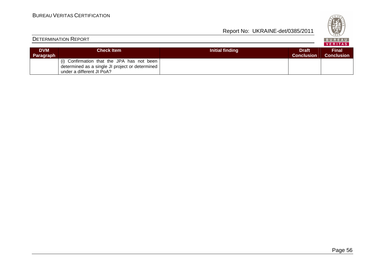| ×<br>U.<br>n<br>828 |
|---------------------|
| v<br>. .            |

| <b>DETERMINATION REPORT</b> |                                                                                                                            |                 |                                   | BUREAU<br>VERITAS                 |
|-----------------------------|----------------------------------------------------------------------------------------------------------------------------|-----------------|-----------------------------------|-----------------------------------|
| <b>DVM</b><br>Paragraph     | <b>Check Item</b>                                                                                                          | Initial finding | <b>Draft</b><br><b>Conclusion</b> | <b>Final</b><br><b>Conclusion</b> |
|                             | (i) Confirmation that the JPA has not been<br>determined as a single JI project or determined<br>under a different JI PoA? |                 |                                   |                                   |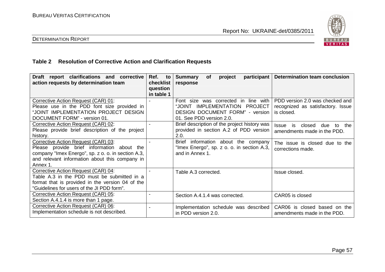

## DETERMINATION REPORT

## **Table 2 Resolution of Corrective Action and Clarification Requests**

| Draft report clarifications and corrective<br>action requests by determination team                                                                                                                      | Ref.<br>to<br>checklist<br>question<br>in table 1 | participant<br><b>Summary</b><br>project<br><b>of</b><br>response                                                                           | <b>Determination team conclusion</b>                                               |
|----------------------------------------------------------------------------------------------------------------------------------------------------------------------------------------------------------|---------------------------------------------------|---------------------------------------------------------------------------------------------------------------------------------------------|------------------------------------------------------------------------------------|
| Corrective Action Request (CAR) 01:<br>Please use in the PDD font size provided in<br>"JOINT IMPLEMENTATION PROJECT DESIGN<br>DOCUMENT FORM" - version 01.                                               |                                                   | Font size was corrected in line with<br>"JOINT IMPLEMENTATION PROJECT<br><b>DESIGN DOCUMENT FORM" - version</b><br>01. See PDD version 2.0. | PDD version 2.0 was checked and<br>recognized as satisfactory. Issue<br>is closed. |
| Corrective Action Request (CAR) 02:<br>Please provide brief description of the project<br>history.                                                                                                       |                                                   | Brief description of the project history was<br>provided in section A.2 of PDD version<br>2.0.                                              | <b>Issue</b><br>is<br>closed<br>due<br>the<br>to<br>amendments made in the PDD.    |
| Corrective Action Request (CAR) 03:<br>Please provide brief information<br>about the<br>company "Imex Energo", sp. z o. o. in section A.3,<br>and relevant information about this company in<br>Annex 1. |                                                   | <b>Brief</b><br>information about the company<br>"Imex Energo", sp. z o. o. in section A.3,<br>and in Annex 1.                              | The issue is closed due to the<br>corrections made.                                |
| Corrective Action Request (CAR) 04:<br>Table A.3 in the PDD must be submitted in a<br>format that is provided in the version 04 of the<br>"Guidelines for users of the JI PDD form".                     |                                                   | Table A.3 corrected.                                                                                                                        | Issue closed.                                                                      |
| Corrective Action Request (CAR) 05:<br>Section A.4.1.4 is more than 1 page.                                                                                                                              |                                                   | Section A.4.1.4 was corrected.                                                                                                              | CAR05 is closed                                                                    |
| Corrective Action Request (CAR) 06:<br>Implementation schedule is not described.                                                                                                                         |                                                   | Implementation schedule was described<br>in PDD version 2.0.                                                                                | CAR06 is closed based on the<br>amendments made in the PDD.                        |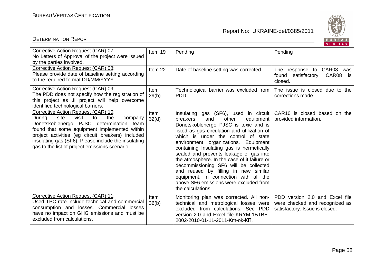

|                                                                                                                                                                                                                                                                                                                                                     |               |                                                                                                                                                                                                                                                                                                                                                                                                                                                                                                                                                                                         | VERITAS                                                                                            |
|-----------------------------------------------------------------------------------------------------------------------------------------------------------------------------------------------------------------------------------------------------------------------------------------------------------------------------------------------------|---------------|-----------------------------------------------------------------------------------------------------------------------------------------------------------------------------------------------------------------------------------------------------------------------------------------------------------------------------------------------------------------------------------------------------------------------------------------------------------------------------------------------------------------------------------------------------------------------------------------|----------------------------------------------------------------------------------------------------|
| Corrective Action Request (CAR) 07:<br>No Letters of Approval of the project were issued<br>by the parties involved.                                                                                                                                                                                                                                | Item 19       | Pending                                                                                                                                                                                                                                                                                                                                                                                                                                                                                                                                                                                 | Pending                                                                                            |
| Corrective Action Request (CAR) 08:<br>Please provide date of baseline setting according<br>to the required format DD/MM/YYYY.                                                                                                                                                                                                                      | Item 22       | Date of baseline setting was corrected.                                                                                                                                                                                                                                                                                                                                                                                                                                                                                                                                                 | The response to CAR08 was<br>found satisfactory. CAR08<br>is.<br>closed.                           |
| Corrective Action Request (CAR) 09:<br>The PDD does not specify how the registration of<br>this project as JI project will help overcome<br>identified technological barriers.                                                                                                                                                                      | Item<br>29(b) | Technological barrier was excluded from<br>PDD.                                                                                                                                                                                                                                                                                                                                                                                                                                                                                                                                         | The issue is closed due to the<br>corrections made.                                                |
| Corrective Action Request (CAR) 10:<br>visit<br>the<br>During<br>site<br>to<br>company<br>Donetskoblenergo PJSC determination<br>team<br>found that some equipment implemented within<br>project activities (eg circuit breakers) included<br>insulating gas (SF6). Please include the insulating<br>gas to the list of project emissions scenario. | Item<br>32(d) | Insulating gas (SF6), used in circuit<br>breakers<br>and<br>other<br>equipment<br>Donetskoblenergo PJSC is toxic and is<br>listed as gas circulation and utilization of<br>which is under the control of state<br>environment organizations. Equipment<br>containing Insulating gas is hermetically<br>sealed and prevents leakage of gas into<br>the atmosphere. In the case of it failure or<br>decommissioning SF6 will be collected<br>and reused by filling in new similar<br>equipment. In connection with all the<br>above SF6 emissions were excluded from<br>the calculations. | CAR10 is closed based on the<br>provided information.                                              |
| Corrective Action Request (CAR) 11:<br>Used TPC rate include technical and commercial<br>consumption and losses. Commercial losses<br>have no impact on GHG emissions and must be<br>excluded from calculations.                                                                                                                                    | Item<br>36(b) | Monitoring plan was corrected. All non-<br>technical and metrological losses were<br>excluded from calculations. See PDD<br>version 2.0 and Excel file KRYM-15TBE-<br>2002-2010-01-11-2011-Km-ok-KN.                                                                                                                                                                                                                                                                                                                                                                                    | PDD version 2.0 and Excel file<br>were checked and recognized as<br>satisfactory. Issue is closed. |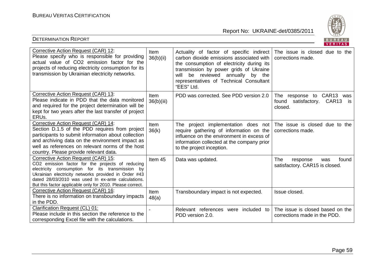

| Corrective Action Request (CAR) 12:<br>Please specify who is responsible for providing<br>actual value of CO2 emission factor for the<br>projects of reducing electricity consumption for its<br>transmission by Ukrainian electricity networks.                                                                      | Item<br>36(b)(ii)    | Actuality of factor of specific indirect<br>carbon dioxide emissions associated with<br>the consumption of electricity during its<br>transmission by power grids of Ukraine<br>be reviewed annually by the<br>will<br>representatives of Technical Consultant<br>"EES" Ltd. | The issue is closed due to the<br>corrections made.                      |
|-----------------------------------------------------------------------------------------------------------------------------------------------------------------------------------------------------------------------------------------------------------------------------------------------------------------------|----------------------|-----------------------------------------------------------------------------------------------------------------------------------------------------------------------------------------------------------------------------------------------------------------------------|--------------------------------------------------------------------------|
| Corrective Action Request (CAR) 13:<br>Please indicate in PDD that the data monitored<br>and required for the project determination will be<br>kept for two years after the last transfer of project<br>ERUs.                                                                                                         | Item<br>36(b)(iii)   | PDD was corrected. See PDD version 2.0                                                                                                                                                                                                                                      | The response to CAR13 was<br>found<br>satisfactory. CAR13 is<br>closed.  |
| Corrective Action Request (CAR) 14:<br>Section D.1.5 of the PDD requires from project<br>participants to submit information about collection<br>and archiving data on the environment impact as<br>well as references on relevant norms of the host<br>country. Please provide relevant data.                         | <b>Item</b><br>36(k) | The project implementation does not<br>require gathering of information on the<br>influence on the environment in excess of<br>information collected at the company prior<br>to the project inception.                                                                      | The issue is closed due to the<br>corrections made.                      |
| Corrective Action Request (CAR) 15:<br>CO2 emission factor for the projects of reducing<br>electricity consumption for its transmission by<br>Ukrainian electricity networks provided in Order #43<br>dated 28/03/2010 was used In ex-ante calculations.<br>But this factor applicable only for 2010. Please correct. | Item 45              | Data was updated.                                                                                                                                                                                                                                                           | <b>The</b><br>found<br>response<br>was<br>satisfactory. CAR15 is closed. |
| Corrective Action Request (CAR) 16:<br>There is no information on transboundary impacts<br>in the PDD.                                                                                                                                                                                                                | Item<br>48(a)        | Transboundary impact is not expected.                                                                                                                                                                                                                                       | Issue closed.                                                            |
| <b>Clarification Request (CL) 01:</b><br>Please include in this section the reference to the<br>corresponding Excel file with the calculations.                                                                                                                                                                       |                      | Relevant references were included<br>to<br>PDD version 2.0.                                                                                                                                                                                                                 | The issue is closed based on the<br>corrections made in the PDD.         |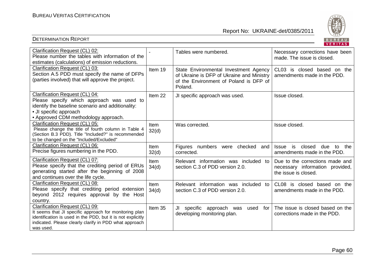

| Clarification Request (CL) 02:<br>Please number the tables with information of the<br>estimates (calculations) of emission reductions.                                                                                         |                      | Tables were numbered.                                                                                                                   | Necessary corrections have been<br>made. The issue is closed.                              |
|--------------------------------------------------------------------------------------------------------------------------------------------------------------------------------------------------------------------------------|----------------------|-----------------------------------------------------------------------------------------------------------------------------------------|--------------------------------------------------------------------------------------------|
| Clarification Request (CL) 03:<br>Section A.5 PDD must specify the name of DFPs<br>(parties involved) that will approve the project.                                                                                           | Item 19              | State Environmental Investment Agency<br>of Ukraine is DFP of Ukraine and Ministry<br>of the Environment of Poland is DFP of<br>Poland. | CL03 is closed based on the<br>amendments made in the PDD.                                 |
| Clarification Request (CL) 04:<br>Please specify which approach was used to<br>identify the baseline scenario and additionality:<br>• JI specific approach<br>• Approved CDM methodology approach.                             | Item 22              | JI specific approach was used.                                                                                                          | Issue closed.                                                                              |
| Clarification Request (CL) 05:<br>Please change the title of fourth column in Table 4<br>(Section B.3 PDD). Title "Included?" is recommended<br>to be changed on the "Included/Excluded"                                       | <b>Item</b><br>32(d) | Was corrected.                                                                                                                          | Issue closed.                                                                              |
| Clarification Request (CL) 06:<br>Precise figures numbering in the PDD.                                                                                                                                                        | <b>Item</b><br>32(d) | Figures numbers were checked and<br>corrected.                                                                                          | is<br>closed<br>due<br>to the<br><b>Issue</b><br>amendments made in the PDD.               |
| Clarification Request (CL) 07:<br>Please specify that the crediting period of ERUs<br>generating started after the beginning of 2008<br>and continues over the life cycle.                                                     | Item<br>34(d)        | Relevant information was included to<br>section C.3 of PDD version 2.0.                                                                 | Due to the corrections made and<br>necessary information provided,<br>the issue is closed. |
| Clarification Request (CL) 08:<br>Please specify that crediting period extension<br>beyond 2012 requires approval by the Host<br>country.                                                                                      | Item<br>34(d)        | Relevant information was included<br>to<br>section C.3 of PDD version 2.0.                                                              | CL <sub>08</sub><br>is closed based on the<br>amendments made in the PDD.                  |
| Clarification Request (CL) 09:<br>It seems that JI specific approach for monitoring plan<br>identification is used in the PDD, but it is not explicitly<br>indicated. Please clearly clarify in PDD what approach<br>was used. | Item 35              | specific approach was<br>JI<br>used<br>for<br>developing monitoring plan.                                                               | The issue is closed based on the<br>corrections made in the PDD.                           |